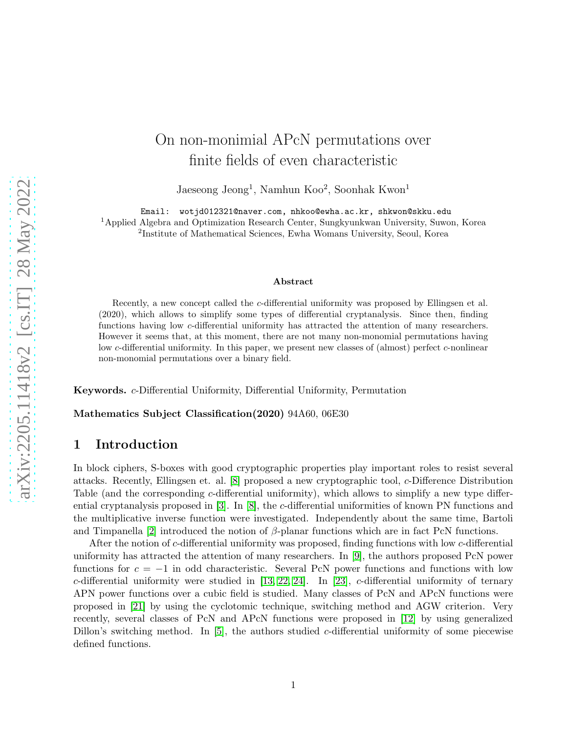# On non-monimial APcN permutations over finite fields of even characteristic

Jaeseong Jeong<sup>1</sup>, Namhun Koo<sup>2</sup>, Soonhak Kwon<sup>1</sup>

Email: wotjd012321@naver.com, nhkoo@ewha.ac.kr, shkwon@skku.edu

<sup>1</sup>Applied Algebra and Optimization Research Center, Sungkyunkwan University, Suwon, Korea 2 Institute of Mathematical Sciences, Ewha Womans University, Seoul, Korea

#### Abstract

Recently, a new concept called the c-differential uniformity was proposed by Ellingsen et al. (2020), which allows to simplify some types of differential cryptanalysis. Since then, finding functions having low c-differential uniformity has attracted the attention of many researchers. However it seems that, at this moment, there are not many non-monomial permutations having low c-differential uniformity. In this paper, we present new classes of (almost) perfect c-nonlinear non-monomial permutations over a binary field.

Keywords. c-Differential Uniformity, Differential Uniformity, Permutation

Mathematics Subject Classification(2020) 94A60, 06E30

## 1 Introduction

In block ciphers, S-boxes with good cryptographic properties play important roles to resist several attacks. Recently, Ellingsen et. al. [\[8\]](#page-20-0) proposed a new cryptographic tool, c-Difference Distribution Table (and the corresponding c-differential uniformity), which allows to simplify a new type differential cryptanalysis proposed in [\[3\]](#page-20-1). In [\[8\]](#page-20-0), the c-differential uniformities of known PN functions and the multiplicative inverse function were investigated. Independently about the same time, Bartoli and Timpanella [\[2\]](#page-20-2) introduced the notion of  $\beta$ -planar functions which are in fact PcN functions.

After the notion of c-differential uniformity was proposed, finding functions with low c-differential uniformity has attracted the attention of many researchers. In [\[9\]](#page-20-3), the authors proposed PcN power functions for  $c = -1$  in odd characteristic. Several PcN power functions and functions with low c-differential uniformity were studied in [\[13,](#page-20-4) [22,](#page-21-0) [24\]](#page-21-1). In [\[23\]](#page-21-2), c-differential uniformity of ternary APN power functions over a cubic field is studied. Many classes of PcN and APcN functions were proposed in [\[21\]](#page-21-3) by using the cyclotomic technique, switching method and AGW criterion. Very recently, several classes of PcN and APcN functions were proposed in [\[12\]](#page-20-5) by using generalized Dillon's switching method. In [\[5\]](#page-20-6), the authors studied c-differential uniformity of some piecewise defined functions.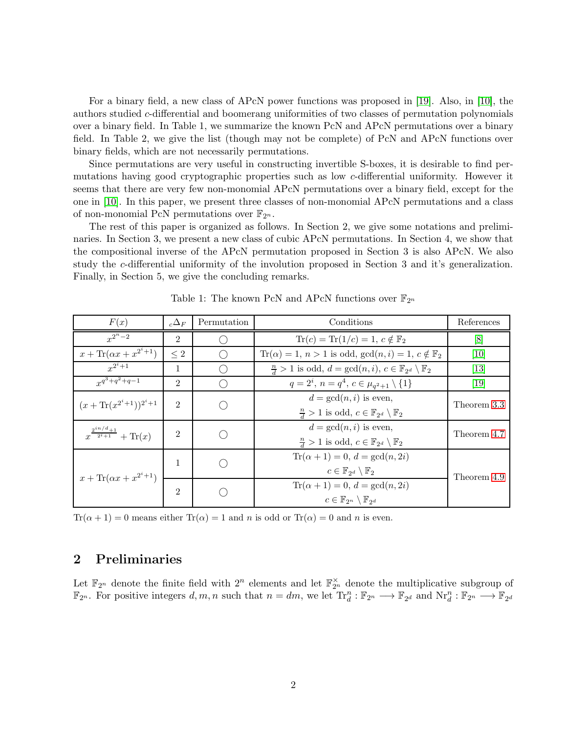For a binary field, a new class of APcN power functions was proposed in [\[19\]](#page-21-4). Also, in [\[10\]](#page-20-7), the authors studied c-differential and boomerang uniformities of two classes of permutation polynomials over a binary field. In Table 1, we summarize the known PcN and APcN permutations over a binary field. In Table 2, we give the list (though may not be complete) of PcN and APcN functions over binary fields, which are not necessarily permutations.

Since permutations are very useful in constructing invertible S-boxes, it is desirable to find permutations having good cryptographic properties such as low c-differential uniformity. However it seems that there are very few non-monomial APcN permutations over a binary field, except for the one in [\[10\]](#page-20-7). In this paper, we present three classes of non-monomial APcN permutations and a class of non-monomial PcN permutations over  $\mathbb{F}_{2^n}$ .

The rest of this paper is organized as follows. In Section 2, we give some notations and preliminaries. In Section 3, we present a new class of cubic APcN permutations. In Section 4, we show that the compositional inverse of the APcN permutation proposed in Section 3 is also APcN. We also study the c-differential uniformity of the involution proposed in Section 3 and it's generalization. Finally, in Section 5, we give the concluding remarks.

| F(x)                                          | $c^{\Delta_F}$              | Permutation | Conditions                                                                                             | References                    |
|-----------------------------------------------|-----------------------------|-------------|--------------------------------------------------------------------------------------------------------|-------------------------------|
| $x^{2^n-2}$                                   | $\mathfrak{D}$              |             | $\text{Tr}(c) = \text{Tr}(1/c) = 1, c \notin \mathbb{F}_2$                                             | [8]                           |
| $x + \text{Tr}(\alpha x + x^{2^i+1})$         | $\leq 2$                    |             | $\text{Tr}(\alpha) = 1, n > 1$ is odd, $\gcd(n, i) = 1, c \notin \mathbb{F}_2$                         | 10                            |
| $r^{2^i+1}$                                   |                             |             | $\frac{n}{d} > 1$ is odd, $d = \gcd(n, i)$ , $c \in \mathbb{F}_{2^d} \setminus \mathbb{F}_2$           | $\left\lceil 13 \right\rceil$ |
| $r^{q^3+q^2+q-1}$                             | $\mathfrak{D}$              |             | $q = 2^i$ , $n = q^4$ , $c \in \mu_{q^2+1} \setminus \{1\}$                                            | $\left[19\right]$             |
| $(x + \text{Tr}(x^{2^i+1}))^{2^i+1}$          | $\mathcal{D}_{\mathcal{L}}$ |             | $d = \gcd(n, i)$ is even,<br>$\frac{n}{d} > 1$ is odd, $c \in \mathbb{F}_{2^d} \setminus \mathbb{F}_2$ | Theorem 3.3                   |
| $x^{\frac{2^{in}/d+1}{2^i+1}} + \text{Tr}(x)$ | 2                           |             | $d = \gcd(n, i)$ is even,<br>$\frac{n}{d} > 1$ is odd, $c \in \mathbb{F}_{2^d} \setminus \mathbb{F}_2$ | Theorem 4.7                   |
| $x + \text{Tr}(\alpha x + x^{2^{i}+1})$       |                             |             | $Tr(\alpha + 1) = 0, d = gcd(n, 2i)$<br>$c \in \mathbb{F}_{2^d} \setminus \mathbb{F}_2$                | Theorem 4.9                   |
|                                               | $\mathfrak{D}$              |             | $Tr(\alpha + 1) = 0, d = gcd(n, 2i)$<br>$c \in \mathbb{F}_{2^n} \setminus \mathbb{F}_{2^d}$            |                               |

Table 1: The known PcN and APcN functions over  $\mathbb{F}_{2^n}$ 

 $Tr(\alpha + 1) = 0$  means either  $Tr(\alpha) = 1$  and n is odd or  $Tr(\alpha) = 0$  and n is even.

## 2 Preliminaries

Let  $\mathbb{F}_{2^n}$  denote the finite field with  $2^n$  elements and let  $\mathbb{F}_{2^n}^{\times}$  denote the multiplicative subgroup of  $\mathbb{F}_{2^n}$ . For positive integers  $d, m, n$  such that  $n = dm$ , we let  $\text{Tr}_d^n : \mathbb{F}_{2^n} \longrightarrow \mathbb{F}_{2^d}$  and  $\text{Nr}_d^n : \mathbb{F}_{2^n} \longrightarrow \mathbb{F}_{2^d}$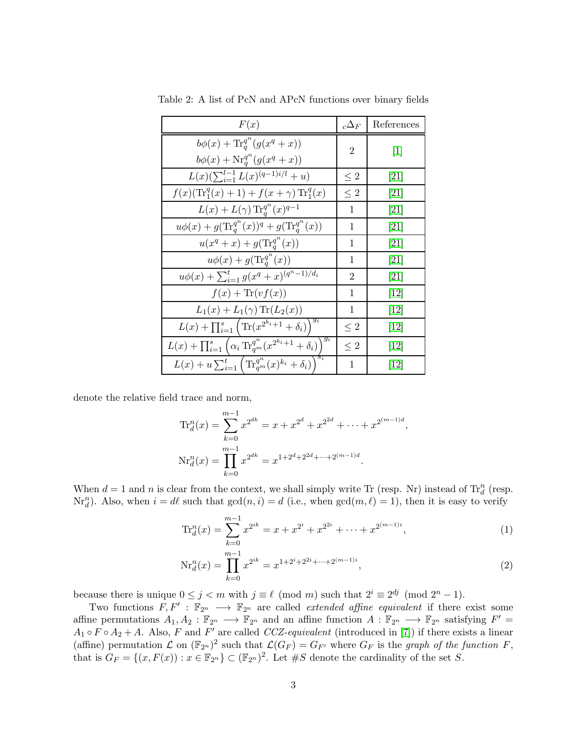| F(x)                                                                                               | $_c\Delta_F$   | References                   |
|----------------------------------------------------------------------------------------------------|----------------|------------------------------|
| $b\phi(x) + \text{Tr}_{q}^{q^{n}}(g(x^{q}+x))$<br>$b\phi(x) + \text{Nr}_q^{q^n}(g(x^q + x))$       | $\overline{2}$ | $[1]$                        |
| $L(x)(\sum_{i=1}^{l-1}L(x)^{(q-1)i/l}+u)$                                                          | $\leq 2$       | [21]                         |
| $f(x)(\text{Tr}_1^q(x)+1)+f(x+\gamma)\text{Tr}_1^q(x)$                                             | $\leq 2$       | [21]                         |
| $L(x) + L(\gamma) \text{Tr}_q^{q^n}(x)^{q-1}$                                                      | 1              | [21]                         |
| $u\phi(x) + g(\text{Tr}_q^{q^n}(x))^q + g(\text{Tr}_q^{q^n}(x))$                                   | 1              | [21]                         |
| $u(x^{q}+x)+g(\text{Tr}_{q}^{q^{n}}(x))$                                                           | 1              | [21]                         |
| $u\phi(x) + g(\text{Tr}_q^{q^n}(x))$                                                               | 1              | [21]                         |
| $u\phi(x) + \sum_{i=1}^{t} g(x^q + x)^{(q^n-1)/d_i}$                                               | $\overline{2}$ | [21]                         |
| $f(x) + \text{Tr}(vf(x))$                                                                          | 1              | $\left\lceil 12\right\rceil$ |
| $L_1(x) + L_1(\gamma) \text{Tr}(L_2(x))$                                                           | 1              | $\left\lceil 12\right\rceil$ |
| $L(x) + \prod_{i=1}^{s} (\text{Tr}(x^{2^{k_i}+1} + \delta_i))^{\frac{g_i}{g_i}}$                   | $\leq 2$       | $\left\lceil 12\right\rceil$ |
| $L(x) + \prod_{i=1}^{s} (\alpha_i \operatorname{Tr}_{q^m}^{q^n} (x^{2^{k_i}+1} + \delta_i))^{g_i}$ | $\leq 2$       | $\left\lceil 12\right\rceil$ |
| $L(x) + u \sum_{i=1}^{t} \left( \text{Tr}_{q^m}^{q^n}(x)^{k_i} + \delta_i \right)^{t}$             | 1              | $\left\lceil 12\right\rceil$ |

Table 2: A list of PcN and APcN functions over binary fields

denote the relative field trace and norm,

$$
\operatorname{Tr}_{d}^{n}(x) = \sum_{k=0}^{m-1} x^{2^{dk}} = x + x^{2^{d}} + x^{2^{2d}} + \dots + x^{2^{(m-1)d}},
$$
  

$$
\operatorname{Nr}_{d}^{n}(x) = \prod_{k=0}^{m-1} x^{2^{dk}} = x^{1+2^{d}+2^{2d}+\dots+2^{(m-1)d}}.
$$

When  $d = 1$  and n is clear from the context, we shall simply write Tr (resp. Nr) instead of  $\text{Tr}_{d}^{n}$  (resp.  $\text{Nr}_d^n$ ). Also, when  $i = d\ell$  such that  $gcd(n, i) = d$  (i.e., when  $gcd(m, \ell) = 1$ ), then it is easy to verify

<span id="page-2-0"></span>
$$
\operatorname{Tr}_{d}^{n}(x) = \sum_{k=0}^{m-1} x^{2^{ik}} = x + x^{2^{i}} + x^{2^{2i}} + \dots + x^{2^{(m-1)i}},
$$
\n(1)

<span id="page-2-1"></span>
$$
Nr_d^n(x) = \prod_{k=0}^{m-1} x^{2^{ik}} = x^{1+2^i+2^{2i}+\dots+2^{(m-1)i}},
$$
\n(2)

because there is unique  $0 \le j < m$  with  $j \equiv \ell \pmod{m}$  such that  $2^i \equiv 2^{dj} \pmod{2^n - 1}$ .

Two functions  $F, F' : \mathbb{F}_{2^n} \longrightarrow \mathbb{F}_{2^n}$  are called *extended affine equivalent* if there exist some affine permutations  $A_1, A_2 : \mathbb{F}_{2^n} \longrightarrow \mathbb{F}_{2^n}$  and an affine function  $A : \mathbb{F}_{2^n} \longrightarrow \mathbb{F}_{2^n}$  satisfying  $F' =$  $A_1 \circ F \circ A_2 + A$ . Also, F and F' are called CCZ-equivalent (introduced in [\[7\]](#page-20-9)) if there exists a linear (affine) permutation  $\mathcal L$  on  $(\mathbb F_{2^n})^2$  such that  $\mathcal L(G_F) = G_{F'}$  where  $G_F$  is the graph of the function F, that is  $G_F = \{(x, F(x)) : x \in \mathbb{F}_{2^n}\}\subset (\mathbb{F}_{2^n})^2$ . Let #S denote the cardinality of the set S.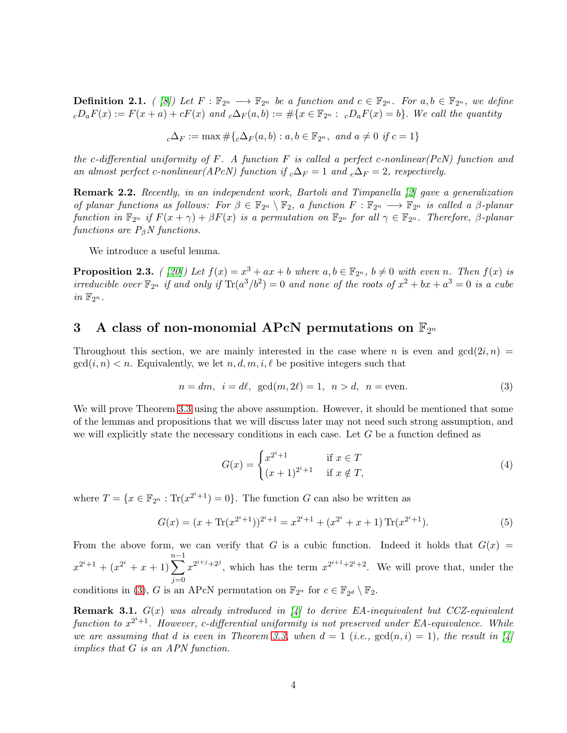**Definition 2.1.** ( [\[8\]](#page-20-0)) Let  $F : \mathbb{F}_{2^n} \longrightarrow \mathbb{F}_{2^n}$  be a function and  $c \in \mathbb{F}_{2^n}$ . For  $a, b \in \mathbb{F}_{2^n}$ , we define  $cD_aF(x) := F(x+a) + cF(x)$  and  $c\Delta_F(a,b) := \#\{x \in \mathbb{F}_{2^n} : cD_aF(x) = b\}$ . We call the quantity

$$
{}_c\Delta_F := \max \# \{ {}_c\Delta_F(a, b) : a, b \in \mathbb{F}_{2^n}, \text{ and } a \neq 0 \text{ if } c = 1 \}
$$

the c-differential uniformity of  $F$ . A function  $F$  is called a perfect c-nonlinear(PcN) function and an almost perfect c-nonlinear(APcN) function if  ${}_{c}\Delta_{F} = 1$  and  ${}_{c}\Delta_{F} = 2$ , respectively.

Remark 2.2. Recently, in an independent work, Bartoli and Timpanella [\[2\]](#page-20-2) gave a generalization of planar functions as follows: For  $\beta \in \mathbb{F}_{2^n} \setminus \mathbb{F}_2$ , a function  $F : \mathbb{F}_{2^n} \longrightarrow \mathbb{F}_{2^n}$  is called a  $\beta$ -planar function in  $\mathbb{F}_{2^n}$  if  $F(x + \gamma) + \beta F(x)$  is a permutation on  $\mathbb{F}_{2^n}$  for all  $\gamma \in \mathbb{F}_{2^n}$ . Therefore,  $\beta$ -planar functions are  $P_{\beta}N$  functions.

We introduce a useful lemma.

<span id="page-3-2"></span>**Proposition 2.3.** ( [\[20\]](#page-21-5)) Let  $f(x) = x^3 + ax + b$  where  $a, b \in \mathbb{F}_{2^n}$ ,  $b \neq 0$  with even n. Then  $f(x)$  is irreducible over  $\mathbb{F}_{2^n}$  if and only if  $\text{Tr}(a^3/b^2) = 0$  and none of the roots of  $x^2 + bx + a^3 = 0$  is a cube in  $\mathbb{F}_{2^n}$ .

## $\, {\bf 3} \quad {\bf A} \text{ class of non-monomial } {\rm \bf APCN} \text{ permutations on } \mathbb{F}_{2^n}$

Throughout this section, we are mainly interested in the case where n is even and  $gcd(2i, n)$  =  $gcd(i, n) < n$ . Equivalently, we let  $n, d, m, i, \ell$  be positive integers such that

$$
n = dm, \quad i = d\ell, \quad \gcd(m, 2\ell) = 1, \quad n > d, \quad n = \text{even.} \tag{3}
$$

We will prove Theorem [3.3](#page-4-0) using the above assumption. However, it should be mentioned that some of the lemmas and propositions that we will discuss later may not need such strong assumption, and we will explicitly state the necessary conditions in each case. Let  $G$  be a function defined as

<span id="page-3-1"></span><span id="page-3-0"></span>
$$
G(x) = \begin{cases} x^{2^{i}+1} & \text{if } x \in T \\ (x+1)^{2^{i}+1} & \text{if } x \notin T, \end{cases}
$$
 (4)

where  $T = \{x \in \mathbb{F}_{2^n} : \text{Tr}(x^{2^i+1}) = 0\}$ . The function G can also be written as

$$
G(x) = (x + \text{Tr}(x^{2^{i}+1}))^{2^{i}+1} = x^{2^{i}+1} + (x^{2^{i}} + x + 1) \text{Tr}(x^{2^{i}+1}).
$$
\n(5)

From the above form, we can verify that G is a cubic function. Indeed it holds that  $G(x)$  =  $x^{2^i+1} + (x^{2^i} + x + 1) \sum_{n=1}^{n-1}$  $j=0$  $x^{2^{i+j}+2^j}$ , which has the term  $x^{2^{i+1}+2^i+2}$ . We will prove that, under the conditions in [\(3\)](#page-3-0), G is an APcN permutation on  $\mathbb{F}_{2^n}$  for  $c \in \mathbb{F}_{2^d} \setminus \mathbb{F}_2$ .

**Remark 3.1.**  $G(x)$  was already introduced in [\[4\]](#page-20-10) to derive EA-inequivalent but CCZ-equivalent function to  $x^{2^i+1}$ . However, c-differential uniformity is not preserved under EA-equivalence. While we are assuming that d is even in Theorem [3.3,](#page-4-0) when  $d = 1$  (i.e.,  $gcd(n, i) = 1$ ), the result in [\[4\]](#page-20-10) implies that G is an APN function.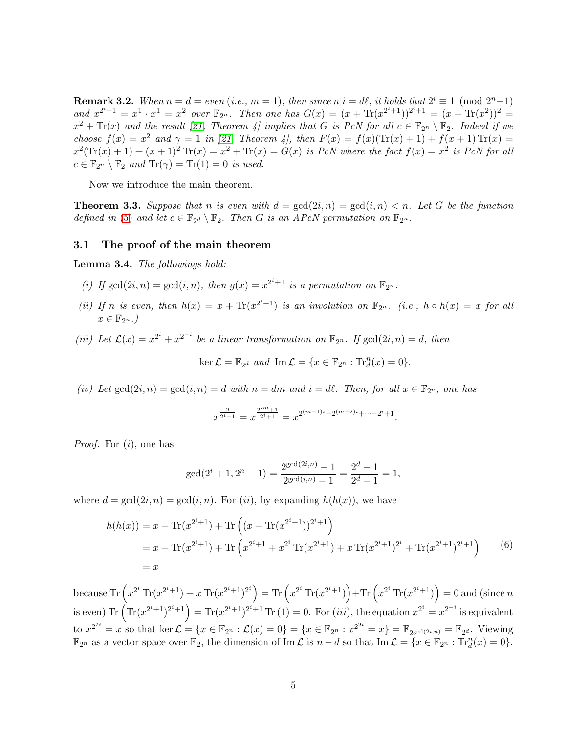**Remark 3.2.** When  $n = d = even$  (i.e.,  $m = 1$ ), then since  $n|i = d\ell$ , it holds that  $2^{i} \equiv 1 \pmod{2^{n}-1}$ and  $x^{2^i+1} = x^1 \cdot x^1 = x^2$  over  $\mathbb{F}_{2^n}$ . Then one has  $G(x) = (x + \text{Tr}(x^{2^i+1}))^{2^i+1} = (x + \text{Tr}(x^2))^2 =$  $x^2 + \text{Tr}(x)$  and the result [\[21,](#page-21-3) Theorem 4] implies that G is PcN for all  $c \in \mathbb{F}_{2^n} \setminus \mathbb{F}_2$ . Indeed if we choose  $f(x) = x^2$  and  $\gamma = 1$  in [\[21,](#page-21-3) Theorem 4], then  $F(x) = f(x)(\text{Tr}(x) + 1) + f(x + 1) \text{Tr}(x) =$  $x^2(\text{Tr}(x) + 1) + (x + 1)^2 \text{Tr}(x) = x^2 + \text{Tr}(x) = G(x)$  is PcN where the fact  $f(x) = x^2$  is PcN for all  $c \in \mathbb{F}_{2^n} \setminus \mathbb{F}_2$  and  $\text{Tr}(\gamma) = \text{Tr}(1) = 0$  is used.

Now we introduce the main theorem.

<span id="page-4-0"></span>**Theorem 3.3.** Suppose that n is even with  $d = \gcd(2i, n) = \gcd(i, n) < n$ . Let G be the function defined in [\(5\)](#page-3-1) and let  $c \in \mathbb{F}_{2^d} \setminus \mathbb{F}_2$ . Then G is an APcN permutation on  $\mathbb{F}_{2^n}$ .

#### 3.1 The proof of the main theorem

<span id="page-4-1"></span>Lemma 3.4. The followings hold:

- (i) If  $gcd(2i, n) = gcd(i, n)$ , then  $g(x) = x^{2^i+1}$  is a permutation on  $\mathbb{F}_{2^n}$ .
- (ii) If n is even, then  $h(x) = x + \text{Tr}(x^{2^{i}+1})$  is an involution on  $\mathbb{F}_{2^{n}}$ . (i.e.,  $h \circ h(x) = x$  for all  $x \in \mathbb{F}_{2^n}$ .
- (iii) Let  $\mathcal{L}(x) = x^{2^i} + x^{2^{-i}}$  be a linear transformation on  $\mathbb{F}_{2^n}$ . If  $gcd(2i, n) = d$ , then

$$
\ker \mathcal{L} = \mathbb{F}_{2^d} \text{ and } \text{Im } \mathcal{L} = \{x \in \mathbb{F}_{2^n} : \text{Tr}_d^n(x) = 0\}.
$$

(iv) Let  $gcd(2i, n) = gcd(i, n) = d$  with  $n = dm$  and  $i = d\ell$ . Then, for all  $x \in \mathbb{F}_{2^n}$ , one has

$$
x^{\frac{2}{2^i+1}} = x^{\frac{2^{im}+1}{2^i+1}} = x^{2^{(m-1)i} - 2^{(m-2)i} + \dots - 2^i + 1}.
$$

*Proof.* For  $(i)$ , one has

$$
\gcd(2^i + 1, 2^n - 1) = \frac{2^{\gcd(2i,n)} - 1}{2^{\gcd(i,n)} - 1} = \frac{2^d - 1}{2^d - 1} = 1,
$$

where  $d = \gcd(2i, n) = \gcd(i, n)$ . For  $(ii)$ , by expanding  $h(h(x))$ , we have

$$
h(h(x)) = x + \text{Tr}(x^{2^{i}+1}) + \text{Tr}\left((x + \text{Tr}(x^{2^{i}+1}))^{2^{i}+1}\right)
$$
  
=  $x + \text{Tr}(x^{2^{i}+1}) + \text{Tr}\left(x^{2^{i}+1} + x^{2^{i}} \text{Tr}(x^{2^{i}+1}) + x \text{Tr}(x^{2^{i}+1})^{2^{i}} + \text{Tr}(x^{2^{i}+1})^{2^{i}+1}\right)$  (6)  
=  $x$ 

because  $\text{Tr}\left(x^{2^i} \text{Tr}(x^{2^i+1})+x \text{Tr}(x^{2^i+1})^{2^i}\right) = \text{Tr}\left(x^{2^i} \text{Tr}(x^{2^i+1})\right) + \text{Tr}\left(x^{2^i} \text{Tr}(x^{2^i+1})\right) = 0$  and (since n is even)  $\text{Tr}(\text{Tr}(x^{2^i+1})^{2^i+1}) = \text{Tr}(x^{2^i+1})^{2^i+1} \text{Tr}(1) = 0.$  For  $(iii)$ , the equation  $x^{2^i} = x^{2^{-i}}$  is equivalent to  $x^{2^{2i}} = x$  so that ker  $\mathcal{L} = \{x \in \mathbb{F}_{2^n} : \mathcal{L}(x) = 0\} = \{x \in \mathbb{F}_{2^n} : x^{2^{2i}} = x\} = \mathbb{F}_{2^{\gcd(2i,n)}} = \mathbb{F}_{2^d}$ . Viewing  $\mathbb{F}_{2^n}$  as a vector space over  $\mathbb{F}_2$ , the dimension of Im  $\mathcal{L}$  is  $n-d$  so that Im  $\mathcal{L} = \{x \in \mathbb{F}_{2^n} : \text{Tr}_d^n(x) = 0\}.$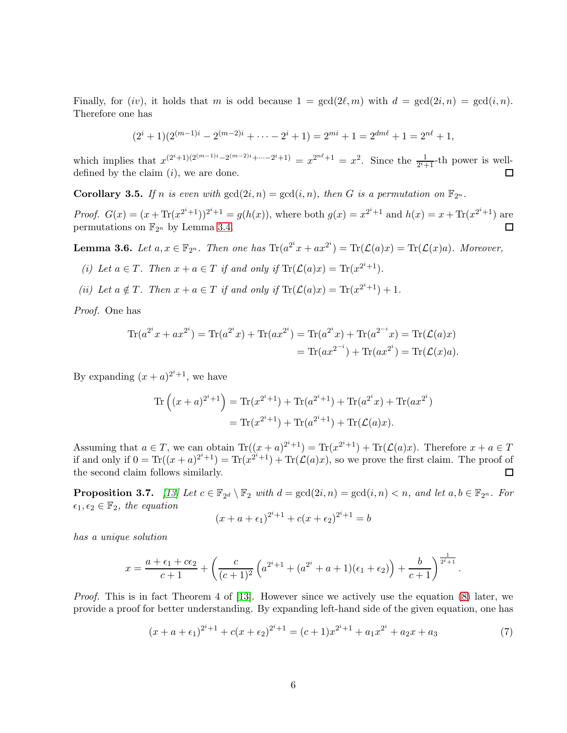Finally, for (iv), it holds that m is odd because  $1 = \gcd(2\ell,m)$  with  $d = \gcd(2i,n) = \gcd(i,n)$ . Therefore one has

$$
(2i + 1)(2(m-1)i - 2(m-2)i + \dots - 2i + 1) = 2mi + 1 = 2dml + 1 = 2nl + 1,
$$

which implies that  $x^{(2^i+1)(2^{(m-1)i}-2^{(m-2)i}+\cdots-2^i+1)} = x^{2^{n\ell}+1} = x^2$ . Since the  $\frac{1}{2^i+1}$ -th power is welldefined by the claim  $(i)$ , we are done.

**Corollary 3.5.** If n is even with  $gcd(2i, n) = gcd(i, n)$ , then G is a permutation on  $\mathbb{F}_{2^n}$ .

*Proof.*  $G(x) = (x + \text{Tr}(x^{2^{i}+1}))^{2^{i}+1} = g(h(x))$ , where both  $g(x) = x^{2^{i}+1}$  and  $h(x) = x + \text{Tr}(x^{2^{i}+1})$  are permutations on  $\mathbb{F}_{2^n}$  by Lemma [3.4.](#page-4-1)  $\Box$ 

<span id="page-5-1"></span>**Lemma 3.6.** Let  $a, x \in \mathbb{F}_{2^n}$ . Then one has  $\text{Tr}(a^{2^i}x + ax^{2^i}) = \text{Tr}(\mathcal{L}(a)x) = \text{Tr}(\mathcal{L}(x)a)$ . Moreover,

- (i) Let  $a \in T$ . Then  $x + a \in T$  if and only if  $\text{Tr}(\mathcal{L}(a)x) = \text{Tr}(x^{2^i+1})$ .
- (ii) Let  $a \notin T$ . Then  $x + a \in T$  if and only if  $\text{Tr}(\mathcal{L}(a)x) = \text{Tr}(x^{2^i+1}) + 1$ .

Proof. One has

$$
\text{Tr}(a^{2^i}x + ax^{2^i}) = \text{Tr}(a^{2^i}x) + \text{Tr}(ax^{2^i}) = \text{Tr}(a^{2^i}x) + \text{Tr}(a^{2^{-i}}x) = \text{Tr}(\mathcal{L}(a)x)
$$

$$
= \text{Tr}(ax^{2^{-i}}) + \text{Tr}(ax^{2^i}) = \text{Tr}(\mathcal{L}(x)a).
$$

By expanding  $(x+a)^{2^i+1}$ , we have

Tr 
$$
((x+a)^{2^{i}+1})
$$
 = Tr $(x^{2^{i}+1})$  + Tr $(a^{2^{i}+1})$  + Tr $(a^{2^{i}}x)$  + Tr $(ax^{2^{i}})$   
= Tr $(x^{2^{i}+1})$  + Tr $(a^{2^{i}+1})$  + Tr $(\mathcal{L}(a)x)$ .

Assuming that  $a \in T$ , we can obtain  $\text{Tr}((x+a)^{2^i+1}) = \text{Tr}(x^{2^i+1}) + \text{Tr}(\mathcal{L}(a)x)$ . Therefore  $x + a \in T$ if and only if  $0 = \text{Tr}((x+a)^{2^i+1}) = \text{Tr}(x^{2^i+1}) + \text{Tr}(\mathcal{L}(a)x)$ , so we prove the first claim. The proof of the second claim follows similarly.  $\Box$ 

<span id="page-5-2"></span>**Proposition 3.7.** [\[13\]](#page-20-4) Let  $c \in \mathbb{F}_{2^d} \setminus \mathbb{F}_2$  with  $d = \gcd(2i, n) = \gcd(i, n) < n$ , and let  $a, b \in \mathbb{F}_{2^n}$ . For  $\epsilon_1, \epsilon_2 \in \mathbb{F}_2$ , the equation

<span id="page-5-0"></span>
$$
(x + a + \epsilon_1)^{2^i + 1} + c(x + \epsilon_2)^{2^i + 1} = b
$$

has a unique solution

$$
x = \frac{a + \epsilon_1 + c\epsilon_2}{c + 1} + \left(\frac{c}{(c + 1)^2} \left(a^{2^i + 1} + (a^{2^i} + a + 1)(\epsilon_1 + \epsilon_2)\right) + \frac{b}{c + 1}\right)^{\frac{1}{2^i + 1}}.
$$

Proof. This is in fact Theorem 4 of [\[13\]](#page-20-4). However since we actively use the equation [\(8\)](#page-6-0) later, we provide a proof for better understanding. By expanding left-hand side of the given equation, one has

$$
(x + a + \epsilon_1)^{2^i + 1} + c(x + \epsilon_2)^{2^i + 1} = (c + 1)x^{2^i + 1} + a_1x^{2^i} + a_2x + a_3
$$
\n(7)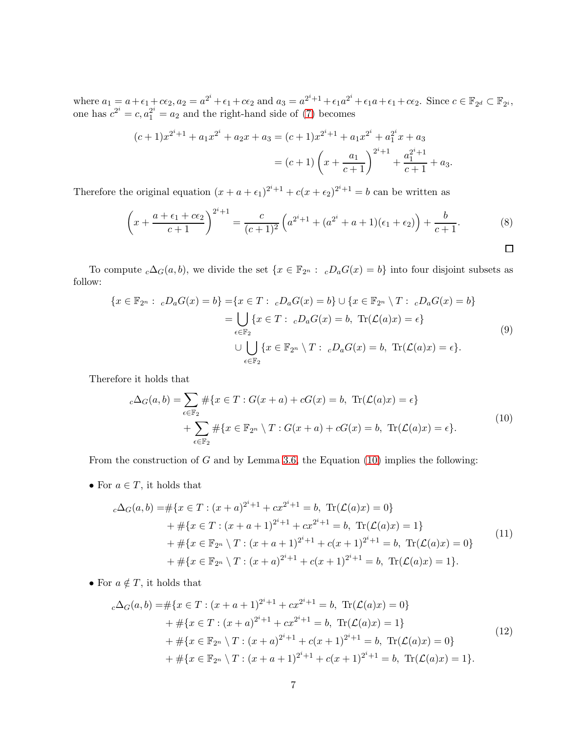where  $a_1 = a + \epsilon_1 + c\epsilon_2$ ,  $a_2 = a^{2^i} + \epsilon_1 + c\epsilon_2$  and  $a_3 = a^{2^i+1} + \epsilon_1 a^{2^i} + \epsilon_1 a + \epsilon_1 + c\epsilon_2$ . Since  $c \in \mathbb{F}_{2^d} \subset \mathbb{F}_{2^i}$ , one has  $c^{2^i} = c, a_1^{2^i} = a_2$  and the right-hand side of [\(7\)](#page-5-0) becomes

<span id="page-6-0"></span>
$$
(c+1)x^{2^{i}+1} + a_{1}x^{2^{i}} + a_{2}x + a_{3} = (c+1)x^{2^{i}+1} + a_{1}x^{2^{i}} + a_{1}^{2^{i}}x + a_{3}
$$

$$
= (c+1)\left(x + \frac{a_{1}}{c+1}\right)^{2^{i}+1} + \frac{a_{1}^{2^{i}+1}}{c+1} + a_{3}.
$$

Therefore the original equation  $(x + a + \epsilon_1)^{2^i+1} + c(x + \epsilon_2)^{2^i+1} = b$  can be written as

$$
\left(x + \frac{a + \epsilon_1 + c\epsilon_2}{c + 1}\right)^{2^i + 1} = \frac{c}{(c + 1)^2} \left(a^{2^i + 1} + (a^{2^i} + a + 1)(\epsilon_1 + \epsilon_2)\right) + \frac{b}{c + 1}.
$$
 (8)

To compute  $c\Delta_G(a, b)$ , we divide the set  $\{x \in \mathbb{F}_{2^n} : cD_aG(x) = b\}$  into four disjoint subsets as follow:

$$
\{x \in \mathbb{F}_{2^n} : \ _cD_aG(x) = b\} = \{x \in T : \ _cD_aG(x) = b\} \cup \{x \in \mathbb{F}_{2^n} \setminus T : \ _cD_aG(x) = b\}
$$

$$
= \bigcup_{\epsilon \in \mathbb{F}_2} \{x \in T : \ _cD_aG(x) = b, \ \mathrm{Tr}(\mathcal{L}(a)x) = \epsilon\}
$$

$$
\cup \bigcup_{\epsilon \in \mathbb{F}_2} \{x \in \mathbb{F}_{2^n} \setminus T : \ _cD_aG(x) = b, \ \mathrm{Tr}(\mathcal{L}(a)x) = \epsilon\}.
$$

$$
(9)
$$

Therefore it holds that

<span id="page-6-1"></span>
$$
c\Delta_G(a,b) = \sum_{\epsilon \in \mathbb{F}_2} \# \{x \in T : G(x+a) + cG(x) = b, \text{ Tr}(\mathcal{L}(a)x) = \epsilon \}
$$
  
+ 
$$
\sum_{\epsilon \in \mathbb{F}_2} \# \{x \in \mathbb{F}_{2^n} \setminus T : G(x+a) + cG(x) = b, \text{ Tr}(\mathcal{L}(a)x) = \epsilon \}.
$$
  
(10)

From the construction of  $G$  and by Lemma [3.6,](#page-5-1) the Equation [\(10\)](#page-6-1) implies the following:

• For  $a \in T$ , it holds that

<span id="page-6-2"></span>
$$
c\Delta_G(a,b) = \#\{x \in T : (x+a)^{2^i+1} + cx^{2^i+1} = b, \text{ Tr}(\mathcal{L}(a)x) = 0\}
$$
  
+ 
$$
\#\{x \in T : (x+a+1)^{2^i+1} + cx^{2^i+1} = b, \text{ Tr}(\mathcal{L}(a)x) = 1\}
$$
  
+ 
$$
\#\{x \in \mathbb{F}_{2^n} \setminus T : (x+a+1)^{2^i+1} + c(x+1)^{2^i+1} = b, \text{ Tr}(\mathcal{L}(a)x) = 0\}
$$
  
+ 
$$
\#\{x \in \mathbb{F}_{2^n} \setminus T : (x+a)^{2^i+1} + c(x+1)^{2^i+1} = b, \text{ Tr}(\mathcal{L}(a)x) = 1\}.
$$
  
(11)

• For  $a \notin T$ , it holds that

<span id="page-6-3"></span>
$$
c\Delta_G(a,b) = \#\{x \in T : (x+a+1)^{2^i+1} + cx^{2^i+1} = b, \text{ Tr}(\mathcal{L}(a)x) = 0\}
$$
  
+ 
$$
\#\{x \in T : (x+a)^{2^i+1} + cx^{2^i+1} = b, \text{ Tr}(\mathcal{L}(a)x) = 1\}
$$
  
+ 
$$
\#\{x \in \mathbb{F}_{2^n} \setminus T : (x+a)^{2^i+1} + c(x+1)^{2^i+1} = b, \text{ Tr}(\mathcal{L}(a)x) = 0\}
$$
  
+ 
$$
\#\{x \in \mathbb{F}_{2^n} \setminus T : (x+a+1)^{2^i+1} + c(x+1)^{2^i+1} = b, \text{ Tr}(\mathcal{L}(a)x) = 1\}.
$$
  
(12)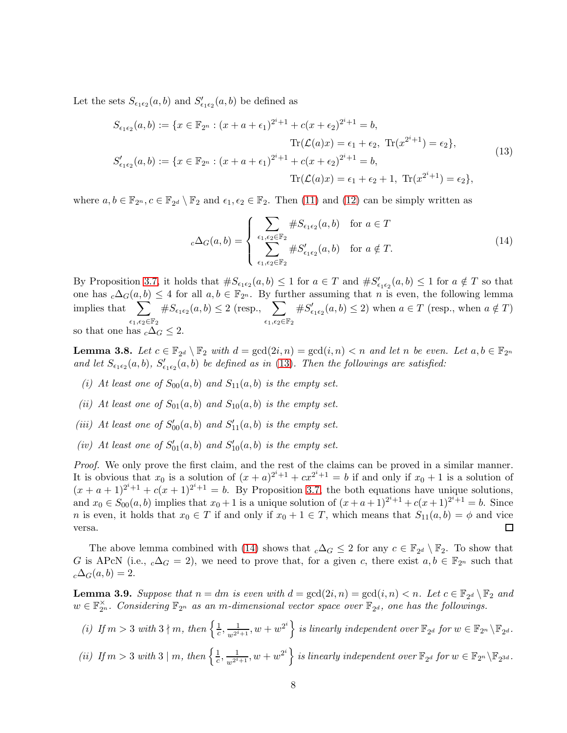Let the sets  $S_{\epsilon_1 \epsilon_2}(a, b)$  and  $S'_{\epsilon_1 \epsilon_2}(a, b)$  be defined as

$$
S_{\epsilon_1 \epsilon_2}(a, b) := \{x \in \mathbb{F}_{2^n} : (x + a + \epsilon_1)^{2^i + 1} + c(x + \epsilon_2)^{2^i + 1} = b, \n\text{Tr}(\mathcal{L}(a)x) = \epsilon_1 + \epsilon_2, \text{Tr}(x^{2^i + 1}) = \epsilon_2\}, \nS'_{\epsilon_1 \epsilon_2}(a, b) := \{x \in \mathbb{F}_{2^n} : (x + a + \epsilon_1)^{2^i + 1} + c(x + \epsilon_2)^{2^i + 1} = b, \n\text{Tr}(\mathcal{L}(a)x) = \epsilon_1 + \epsilon_2 + 1, \text{Tr}(x^{2^i + 1}) = \epsilon_2\},
$$
\n(13)

where  $a, b \in \mathbb{F}_{2^n}, c \in \mathbb{F}_{2^d} \setminus \mathbb{F}_2$  and  $\epsilon_1, \epsilon_2 \in \mathbb{F}_2$ . Then [\(11\)](#page-6-2) and [\(12\)](#page-6-3) can be simply written as

<span id="page-7-1"></span><span id="page-7-0"></span>
$$
{}_{c}\Delta_{G}(a,b) = \begin{cases} \sum_{\epsilon_{1},\epsilon_{2} \in \mathbb{F}_{2}} \#S_{\epsilon_{1}\epsilon_{2}}(a,b) & \text{for } a \in T\\ \sum_{\epsilon_{1},\epsilon_{2} \in \mathbb{F}_{2}} \#S_{\epsilon_{1}\epsilon_{2}}'(a,b) & \text{for } a \notin T. \end{cases}
$$
(14)

By Proposition [3.7,](#page-5-2) it holds that  $\#S_{\epsilon_1\epsilon_2}(a,b) \leq 1$  for  $a \in T$  and  $\#S'_{\epsilon_1\epsilon_2}(a,b) \leq 1$  for  $a \notin T$  so that one has  $c\Delta_G(a, b) \leq 4$  for all  $a, b \in \mathbb{F}_{2^n}$ . By further assuming that n is even, the following lemma implies that  $\sum$  $\epsilon_1,\!\epsilon_2\!\!\in\!\!\mathbb{F}_2$  $\#S_{\epsilon_1\epsilon_2}(a, b) \leq 2$  (resp.,  $\sum$  $\epsilon_1,\!\epsilon_2\!\!\in\!\!\mathbb{F}_2$  $\#S'_\epsilon$  $C'_{\epsilon_1\epsilon_2}(a, b) \leq 2$ ) when  $a \in T$  (resp., when  $a \notin T$ ) so that one has  $_c\Delta_G \leq 2$ .

<span id="page-7-3"></span>**Lemma 3.8.** Let  $c \in \mathbb{F}_{2^d} \setminus \mathbb{F}_2$  with  $d = \gcd(2i, n) = \gcd(i, n) < n$  and let n be even. Let  $a, b \in \mathbb{F}_{2^n}$ and let  $S_{\epsilon_1\epsilon_2}(a, b)$ ,  $S'_{\epsilon_1\epsilon_2}(a, b)$  be defined as in [\(13\)](#page-7-0). Then the followings are satisfied:

- (i) At least one of  $S_{00}(a, b)$  and  $S_{11}(a, b)$  is the empty set.
- (ii) At least one of  $S_{01}(a, b)$  and  $S_{10}(a, b)$  is the empty set.
- (iii) At least one of  $S'_{00}(a, b)$  and  $S'_{11}(a, b)$  is the empty set.
- (iv) At least one of  $S'_{01}(a, b)$  and  $S'_{10}(a, b)$  is the empty set.

Proof. We only prove the first claim, and the rest of the claims can be proved in a similar manner. It is obvious that  $x_0$  is a solution of  $(x + a)^{2^i+1} + cx^{2^i+1} = b$  if and only if  $x_0 + 1$  is a solution of  $(x+a+1)^{2^{i}+1}+c(x+1)^{2^{i}+1}=b$ . By Proposition [3.7,](#page-5-2) the both equations have unique solutions, and  $x_0 \in S_{00}(a, b)$  implies that  $x_0 + 1$  is a unique solution of  $(x + a + 1)^{2^{i}+1} + c(x + 1)^{2^{i}+1} = b$ . Since n is even, it holds that  $x_0 \in T$  if and only if  $x_0 + 1 \in T$ , which means that  $S_{11}(a, b) = \phi$  and vice versa.  $\Box$ 

The above lemma combined with [\(14\)](#page-7-1) shows that  ${}_{c}\Delta_{G} \leq 2$  for any  $c \in \mathbb{F}_{2^{d}} \setminus \mathbb{F}_{2}$ . To show that G is APcN (i.e.,  $_c\Delta_G = 2$ ), we need to prove that, for a given c, there exist  $a, b \in \mathbb{F}_{2^n}$  such that  $_{c}\Delta_{G}(a,b)=2.$ 

<span id="page-7-2"></span>**Lemma 3.9.** Suppose that  $n = dm$  is even with  $d = \gcd(2i, n) = \gcd(i, n) < n$ . Let  $c \in \mathbb{F}_{2^d} \setminus \mathbb{F}_2$  and  $w \in \mathbb{F}_{2^n}^{\times}$ . Considering  $\mathbb{F}_{2^n}$  as an m-dimensional vector space over  $\mathbb{F}_{2^d}$ , one has the followings.

- (i) If  $m > 3$  with  $3 \nmid m$ , then  $\left\{\frac{1}{c}\right\}$  $\frac{1}{c}, \frac{1}{w^{2^i+1}}, w+w^{2^i}\Big\}$  is linearly independent over  $\mathbb{F}_{2^d}$  for  $w \in \mathbb{F}_{2^n} \backslash \mathbb{F}_{2^d}$ .
- (ii) If  $m > 3$  with  $3 \mid m$ , then  $\left\{\frac{1}{c}\right\}$  $\frac{1}{c}, \frac{1}{w^{2^i+1}}, w+w^{2^i}\Big\}$  is linearly independent over  $\mathbb{F}_{2^d}$  for  $w\in \mathbb{F}_{2^n}\backslash \mathbb{F}_{2^{3d}}$ .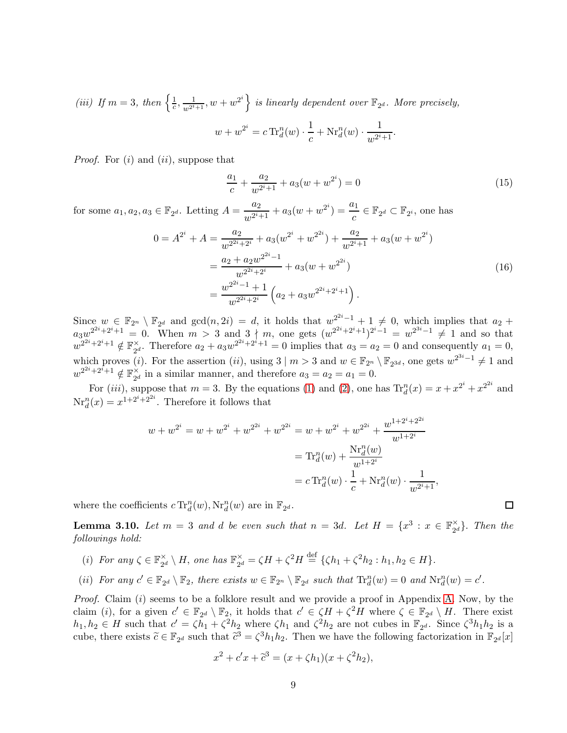(iii) If  $m = 3$ , then  $\left\{\frac{1}{c}\right\}$  $\left\{\frac{1}{c}, \frac{1}{w^{2^i+1}}, w+w^{2^i}\right\}$  is linearly dependent over  $\mathbb{F}_{2^d}$ . More precisely,  $w + w^{2^i} = c \operatorname{Tr}^n_d(w) \cdot \frac{1}{a}$  $\frac{1}{c} + \mathrm{Nr}_d^n(w) \cdot \frac{1}{w^{2^i}}$  $\frac{1}{w^{2^i+1}}$ .

*Proof.* For  $(i)$  and  $(ii)$ , suppose that

$$
\frac{a_1}{c} + \frac{a_2}{w^{2^i+1}} + a_3(w + w^{2^i}) = 0\tag{15}
$$

 $\Box$ 

for some  $a_1, a_2, a_3 \in \mathbb{F}_{2^d}$ . Letting  $A = \frac{a_2}{a_1 a_2^{i_1}}$  $\frac{a_2}{w^{2^i+1}} + a_3(w + w^{2^i}) = \frac{a_1}{c} \in \mathbb{F}_{2^d} \subset \mathbb{F}_{2^i}$ , one has

$$
0 = A^{2^{i}} + A = \frac{a_{2}}{w^{2^{2i}+2^{i}}} + a_{3}(w^{2^{i}} + w^{2^{2i}}) + \frac{a_{2}}{w^{2^{i}+1}} + a_{3}(w + w^{2^{i}})
$$
  
= 
$$
\frac{a_{2} + a_{2}w^{2^{2i}-1}}{w^{2^{2i}+2^{i}}} + a_{3}(w + w^{2^{2i}})
$$
  
= 
$$
\frac{w^{2^{2i}-1} + 1}{w^{2^{2i}+2^{i}}} \left(a_{2} + a_{3}w^{2^{2i}+2^{i}+1}\right).
$$
 (16)

Since  $w \in \mathbb{F}_{2^n} \setminus \mathbb{F}_{2^d}$  and  $gcd(n, 2i) = d$ , it holds that  $w_2^{2^{2i}-1} + 1 \neq 0$ , which implies that  $a_2 +$  $a_3w^{2^{2i}+2^i+1} = 0$ . When  $m > 3$  and  $3 \nmid m$ , one gets  $(w^{2^{2i}+2^i+1})^{2^i-1} = w^{2^{3i}-1} \neq 1$  and so that  $w^{2^{2i}+2^i+1} \notin \mathbb{F}_{2^i}^{\times}$  $\chi^2_{2d}$ . Therefore  $a_2 + a_3 w^{2^{2i}+2^i+1} = 0$  implies that  $a_3 = a_2 = 0$  and consequently  $a_1 = 0$ , which proves (*i*). For the assertion (*ii*), using  $3 \mid m > 3$  and  $w \in \mathbb{F}_{2^n} \setminus \mathbb{F}_{2^{3d}}$ , one gets  $w^{2^{3i}-1} \neq 1$  and  $w^{2^{2i}+2^{\tilde{i}}+1}\notin \mathbb{F}_{2^{\tilde{o}}}^{\times}$  $\chi^2_{2d}$  in a similar manner, and therefore  $a_3 = a_2 = a_1 = 0$ .

For (*iii*), suppose that  $m = 3$ . By the equations [\(1\)](#page-2-0) and [\(2\)](#page-2-1), one has  $Tr_d^n(x) = x + x^{2^i} + x^{2^{2i}}$  and  $\text{Nr}_d^n(x) = x^{1+2^i+2^{2i}}$ . Therefore it follows that

$$
w + w^{2^{i}} = w + w^{2^{i}} + w^{2^{2i}} + w^{2^{2i}} = w + w^{2^{i}} + w^{2^{2i}} + \frac{w^{1+2^{i}+2^{2i}}}{w^{1+2^{i}}}
$$

$$
= \text{Tr}_{d}^{n}(w) + \frac{\text{Nr}_{d}^{n}(w)}{w^{1+2^{i}}}
$$

$$
= c \text{Tr}_{d}^{n}(w) \cdot \frac{1}{c} + \text{Nr}_{d}^{n}(w) \cdot \frac{1}{w^{2^{i}+1}},
$$

where the coefficients  $c \operatorname{Tr}^n_d(w)$ ,  $\operatorname{Nr}^n_d(w)$  are in  $\mathbb{F}_{2^d}$ .

<span id="page-8-0"></span>**Lemma 3.10.** Let  $m = 3$  and d be even such that  $n = 3d$ . Let  $H = \{x^3 : x \in \mathbb{F}_{2d}^{\times} \}$  $\mathbb{Z}_2^{\times}$ . Then the followings hold:

- (*i*) For any  $\zeta \in \mathbb{F}_{q_q}^{\times}$  $\mathbb{Z}_2^{\times} \setminus H$ , one has  $\mathbb{F}_{2^c}^{\times}$  $\chi_{2^d}^{\times} = \zeta H + \zeta^2 H \stackrel{\text{def}}{=} {\zeta h_1 + \zeta^2 h_2 : h_1, h_2 \in H}.$
- (ii) For any  $c' \in \mathbb{F}_{2^d} \setminus \mathbb{F}_2$ , there exists  $w \in \mathbb{F}_{2^n} \setminus \mathbb{F}_{2^d}$  such that  $\text{Tr}_{d}^n(w) = 0$  and  $\text{Nr}_{d}^n(w) = c'$ .

Proof. Claim (i) seems to be a folklore result and we provide a proof in Appendix [A.](#page-21-6) Now, by the claim (*i*), for a given  $c' \in \mathbb{F}_{2^d} \setminus \mathbb{F}_2$ , it holds that  $c' \in \zeta H + \zeta^2 H$  where  $\zeta \in \mathbb{F}_{2^d} \setminus H$ . There exist  $h_1, h_2 \in H$  such that  $c' = \zeta h_1 + \zeta^2 h_2$  where  $\zeta h_1$  and  $\zeta^2 h_2$  are not cubes in  $\mathbb{F}_{2^d}$ . Since  $\zeta^3 h_1 h_2$  is a cube, there exists  $\tilde{c} \in \mathbb{F}_{2^d}$  such that  $\tilde{c}^3 = \zeta^3 h_1 h_2$ . Then we have the following factorization in  $\mathbb{F}_{2^d}[x]$ 

$$
x^{2} + c'x + \tilde{c}^{3} = (x + \zeta h_{1})(x + \zeta^{2}h_{2}),
$$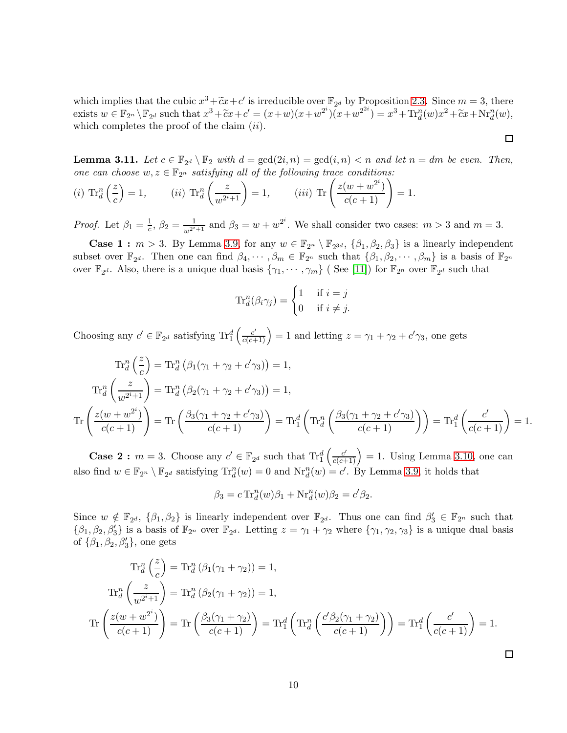which implies that the cubic  $x^3 + \tilde{c}x + c'$  is irreducible over  $\mathbb{F}_{2^d}$  by Proposition [2.3.](#page-3-2) Since  $m = 3$ , there exists  $w \in \mathbb{F}_{2^n} \setminus \mathbb{F}_{2^d}$  such that  $x^3 + \tilde{c}x + c' = (x+w)(x+w^{2^i})\overline{(x+w^{2^{2i}})} = x^3 + \text{Tr}_d^n(w)x^2 + \tilde{c}x + \text{Nr}_d^n(w)$ , which completes the proof of the claim  $(ii)$ .

 $\Box$ 

<span id="page-9-0"></span>**Lemma 3.11.** Let  $c \in \mathbb{F}_{2^d} \setminus \mathbb{F}_2$  with  $d = \gcd(2i, n) = \gcd(i, n) < n$  and let  $n = dm$  be even. Then, one can choose  $w, z \in \mathbb{F}_{2^n}$  satisfying all of the following trace conditions:

(i) 
$$
\operatorname{Tr}_{d}^{n}\left(\frac{z}{c}\right) = 1
$$
, (ii)  $\operatorname{Tr}_{d}^{n}\left(\frac{z}{w^{2^{i}+1}}\right) = 1$ , (iii)  $\operatorname{Tr}\left(\frac{z(w+w^{2^{i}})}{c(c+1)}\right) = 1$ .

*Proof.* Let  $\beta_1 = \frac{1}{c}$  $\frac{1}{c}$ ,  $\beta_2 = \frac{1}{w^{2^i+1}}$  and  $\beta_3 = w + w^{2^i}$ . We shall consider two cases:  $m > 3$  and  $m = 3$ .

**Case 1 :**  $m > 3$ . By Lemma [3.9,](#page-7-2) for any  $w \in \mathbb{F}_{2^n} \setminus \mathbb{F}_{2^{3d}}$ ,  $\{\beta_1, \beta_2, \beta_3\}$  is a linearly independent subset over  $\mathbb{F}_{2^d}$ . Then one can find  $\beta_1, \dots, \beta_m \in \mathbb{F}_{2^n}$  such that  $\{\beta_1, \beta_2, \dots, \beta_m\}$  is a basis of  $\mathbb{F}_{2^n}$ over  $\mathbb{F}_{2^d}$ . Also, there is a unique dual basis  $\{\gamma_1, \cdots, \gamma_m\}$  (See [\[11\]](#page-20-11)) for  $\mathbb{F}_{2^n}$  over  $\mathbb{F}_{2^d}$  such that

$$
\operatorname{Tr}_{d}^{n}(\beta_{i}\gamma_{j}) = \begin{cases} 1 & \text{if } i = j \\ 0 & \text{if } i \neq j. \end{cases}
$$

Choosing any  $c' \in \mathbb{F}_{2^d}$  satisfying  $\text{Tr}_1^d$  $\left(\frac{c'}{c(c+1)}\right) = 1$  and letting  $z = \gamma_1 + \gamma_2 + c'\gamma_3$ , one gets

$$
\operatorname{Tr}_{d}^{n}\left(\frac{z}{c}\right) = \operatorname{Tr}_{d}^{n}\left(\beta_{1}(\gamma_{1} + \gamma_{2} + c'\gamma_{3})\right) = 1,
$$
\n
$$
\operatorname{Tr}_{d}^{n}\left(\frac{z}{w^{2^{i}+1}}\right) = \operatorname{Tr}_{d}^{n}\left(\beta_{2}(\gamma_{1} + \gamma_{2} + c'\gamma_{3})\right) = 1,
$$
\n
$$
\operatorname{Tr}\left(\frac{z(w+w^{2^{i}})}{c(c+1)}\right) = \operatorname{Tr}\left(\frac{\beta_{3}(\gamma_{1} + \gamma_{2} + c'\gamma_{3})}{c(c+1)}\right) = \operatorname{Tr}_{1}^{d}\left(\operatorname{Tr}_{d}^{n}\left(\frac{\beta_{3}(\gamma_{1} + \gamma_{2} + c'\gamma_{3})}{c(c+1)}\right)\right) = \operatorname{Tr}_{1}^{d}\left(\frac{c'}{c(c+1)}\right) = 1.
$$

**Case 2 :**  $m = 3$ . Choose any  $c' \in \mathbb{F}_{2^d}$  such that  $\text{Tr}_1^d$  $\left(\frac{c'}{c(c+1)}\right) = 1$ . Using Lemma [3.10,](#page-8-0) one can also find  $w \in \mathbb{F}_{2^n} \setminus \mathbb{F}_{2^d}$  satisfying  $\text{Tr}_{d}^{n}(w) = 0$  and  $\text{Nr}_{d}^{n}(w) = c'$ . By Lemma [3.9,](#page-7-2) it holds that

$$
\beta_3 = c \operatorname{Tr}^n_d(w)\beta_1 + \operatorname{Nr}^n_d(w)\beta_2 = c'\beta_2.
$$

Since  $w \notin \mathbb{F}_{2^d}$ ,  $\{\beta_1, \beta_2\}$  is linearly independent over  $\mathbb{F}_{2^d}$ . Thus one can find  $\beta'_3 \in \mathbb{F}_{2^n}$  such that  $\{\beta_1,\beta_2,\beta'_3\}$  is a basis of  $\mathbb{F}_{2^n}$  over  $\mathbb{F}_{2^d}$ . Letting  $z = \gamma_1 + \gamma_2$  where  $\{\gamma_1,\gamma_2,\gamma_3\}$  is a unique dual basis of  $\{\beta_1, \beta_2, \beta_3'\}$ , one gets

$$
\operatorname{Tr}_{d}^{n}\left(\frac{z}{c}\right) = \operatorname{Tr}_{d}^{n}\left(\beta_{1}(\gamma_{1} + \gamma_{2})\right) = 1,
$$
\n
$$
\operatorname{Tr}_{d}^{n}\left(\frac{z}{w^{2^{i}+1}}\right) = \operatorname{Tr}_{d}^{n}\left(\beta_{2}(\gamma_{1} + \gamma_{2})\right) = 1,
$$
\n
$$
\operatorname{Tr}\left(\frac{z(w + w^{2^{i}})}{c(c+1)}\right) = \operatorname{Tr}\left(\frac{\beta_{3}(\gamma_{1} + \gamma_{2})}{c(c+1)}\right) = \operatorname{Tr}_{1}^{d}\left(\operatorname{Tr}_{d}^{n}\left(\frac{c'\beta_{2}(\gamma_{1} + \gamma_{2})}{c(c+1)}\right)\right) = \operatorname{Tr}_{1}^{d}\left(\frac{c'}{c(c+1)}\right) = 1.
$$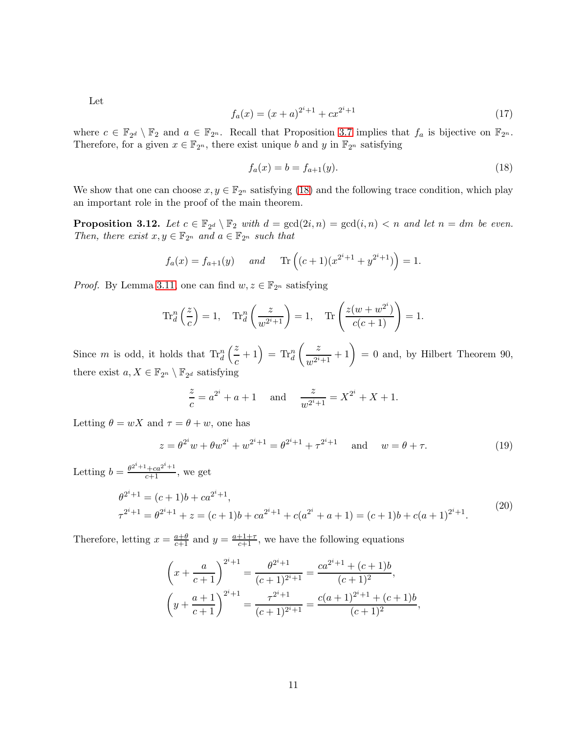Let

$$
f_a(x) = (x+a)^{2^i+1} + cx^{2^i+1}
$$
\n(17)

where  $c \in \mathbb{F}_{2^d} \setminus \mathbb{F}_2$  and  $a \in \mathbb{F}_{2^n}$ . Recall that Proposition [3.7](#page-5-2) implies that  $f_a$  is bijective on  $\mathbb{F}_{2^n}$ . Therefore, for a given  $x \in \mathbb{F}_{2^n}$ , there exist unique b and y in  $\mathbb{F}_{2^n}$  satisfying

<span id="page-10-0"></span>
$$
f_a(x) = b = f_{a+1}(y).
$$
\n(18)

We show that one can choose  $x, y \in \mathbb{F}_{2^n}$  satisfying [\(18\)](#page-10-0) and the following trace condition, which play an important role in the proof of the main theorem.

<span id="page-10-2"></span>**Proposition 3.12.** Let  $c \in \mathbb{F}_{2^d} \setminus \mathbb{F}_2$  with  $d = \gcd(2i, n) = \gcd(i, n) < n$  and let  $n = dm$  be even. Then, there exist  $x, y \in \mathbb{F}_{2^n}$  and  $a \in \mathbb{F}_{2^n}$  such that

$$
f_a(x) = f_{a+1}(y)
$$
 and Tr $((c+1)(x^{2^i+1} + y^{2^i+1})) = 1.$ 

*Proof.* By Lemma [3.11,](#page-9-0) one can find  $w, z \in \mathbb{F}_{2^n}$  satisfying

$$
\operatorname{Tr}_{d}^{n}\left(\frac{z}{c}\right) = 1, \quad \operatorname{Tr}_{d}^{n}\left(\frac{z}{w^{2^{i}+1}}\right) = 1, \quad \operatorname{Tr}\left(\frac{z(w+w^{2^{i}})}{c(c+1)}\right) = 1.
$$

Since  $m$  is odd, it holds that  $\text{Tr}_{d}^{n}$  $\sqrt{z}$  $\left(\frac{z}{c}+1\right) = \text{Tr}_{d}^{n}$  $\begin{pmatrix} z \end{pmatrix}$  $\left(\frac{z}{w^{2^i+1}}+1\right) = 0$  and, by Hilbert Theorem 90, there exist  $a, X \in \mathbb{F}_{2^n} \setminus \mathbb{F}_{2^d}$  satisfying

<span id="page-10-1"></span>
$$
\frac{z}{c} = a^{2^{i}} + a + 1 \quad \text{and} \quad \frac{z}{w^{2^{i}+1}} = X^{2^{i}} + X + 1.
$$

Letting  $\theta = wX$  and  $\tau = \theta + w$ , one has

$$
z = \theta^{2^i} w + \theta w^{2^i} + w^{2^i + 1} = \theta^{2^i + 1} + \tau^{2^i + 1} \quad \text{and} \quad w = \theta + \tau. \tag{19}
$$

Letting  $b = \frac{\theta^{2^i+1} + ca^{2^i+1}}{c+1}$ , we get

$$
\theta^{2^i+1} = (c+1)b + ca^{2^i+1},
$$
  
\n
$$
\tau^{2^i+1} = \theta^{2^i+1} + z = (c+1)b + ca^{2^i+1} + c(a^{2^i} + a + 1) = (c+1)b + c(a+1)^{2^i+1}.
$$
\n(20)

Therefore, letting  $x = \frac{a+\theta}{c+1}$  and  $y = \frac{a+1+\tau}{c+1}$ , we have the following equations

$$
\left(x + \frac{a}{c+1}\right)^{2^i+1} = \frac{\theta^{2^i+1}}{(c+1)^{2^i+1}} = \frac{ca^{2^i+1} + (c+1)b}{(c+1)^2},
$$

$$
\left(y + \frac{a+1}{c+1}\right)^{2^i+1} = \frac{\tau^{2^i+1}}{(c+1)^{2^i+1}} = \frac{c(a+1)^{2^i+1} + (c+1)b}{(c+1)^2},
$$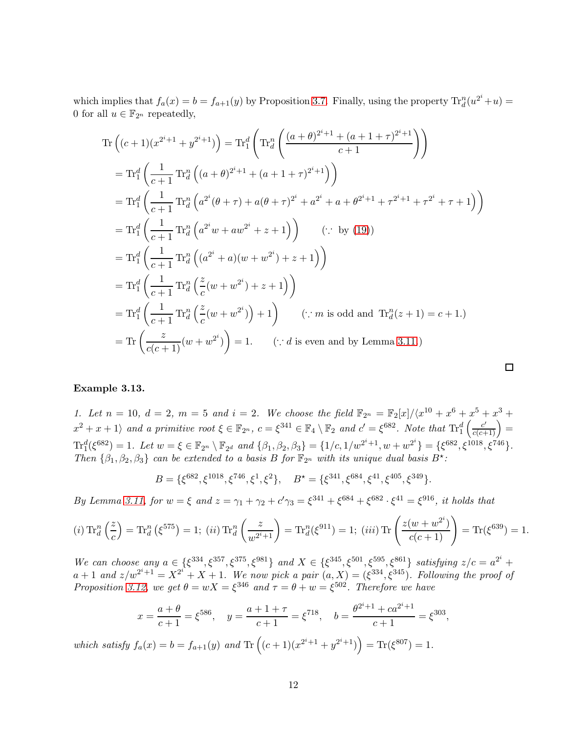which implies that  $f_a(x) = b = f_{a+1}(y)$  by Proposition [3.7.](#page-5-2) Finally, using the property  $Tr_d^n(u^{2^i} + u) =$ 0 for all  $u \in \mathbb{F}_{2^n}$  repeatedly,

$$
\operatorname{Tr}\left((c+1)(x^{2^{i}+1}+y^{2^{i}+1})\right) = \operatorname{Tr}_{1}^{d}\left(\operatorname{Tr}_{d}^{n}\left(\frac{(a+\theta)^{2^{i}+1}+(a+1+\tau)^{2^{i}+1}}{c+1}\right)\right)
$$
\n
$$
= \operatorname{Tr}_{1}^{d}\left(\frac{1}{c+1}\operatorname{Tr}_{d}^{n}\left((a+\theta)^{2^{i}+1}+(a+1+\tau)^{2^{i}+1}\right)\right)
$$
\n
$$
= \operatorname{Tr}_{1}^{d}\left(\frac{1}{c+1}\operatorname{Tr}_{d}^{n}\left(a^{2^{i}}(\theta+\tau)+a(\theta+\tau)^{2^{i}}+a^{2^{i}}+a+\theta^{2^{i}+1}+\tau^{2^{i}+1}+\tau^{2^{i}}+\tau+1\right)\right)
$$
\n
$$
= \operatorname{Tr}_{1}^{d}\left(\frac{1}{c+1}\operatorname{Tr}_{d}^{n}\left(a^{2^{i}}w+aw^{2^{i}}+z+1\right)\right) \quad (\because \text{ by (19)})
$$
\n
$$
= \operatorname{Tr}_{1}^{d}\left(\frac{1}{c+1}\operatorname{Tr}_{d}^{n}\left((a^{2^{i}}+a)(w+w^{2^{i}})+z+1\right)\right)
$$
\n
$$
= \operatorname{Tr}_{1}^{d}\left(\frac{1}{c+1}\operatorname{Tr}_{d}^{n}\left(\frac{z}{c}(w+w^{2^{i}})+z+1\right)\right)
$$
\n
$$
= \operatorname{Tr}_{1}^{d}\left(\frac{1}{c+1}\operatorname{Tr}_{d}^{n}\left(\frac{z}{c}(w+w^{2^{i}})+1\right)\right) \quad (\because m \text{ is odd and } \operatorname{Tr}_{d}^{n}(z+1)=c+1.)
$$
\n
$$
= \operatorname{Tr}\left(\frac{z}{c(c+1)}(w+w^{2^{i}})\right) = 1. \quad (\because d \text{ is even and by Lemma 3.11.})
$$

### Example 3.13.

1. Let  $n = 10$ ,  $d = 2$ ,  $m = 5$  and  $i = 2$ . We choose the field  $\mathbb{F}_{2^n} = \mathbb{F}_2[x]/\langle x^{10} + x^6 + x^5 + x^3 + x^4 \rangle$  $x^2 + x + 1$  and a primitive root  $\xi \in \mathbb{F}_{2^n}$ ,  $c = \xi^{341} \in \mathbb{F}_4 \setminus \mathbb{F}_2$  and  $c' = \xi^{682}$ . Note that  $\text{Tr}_1^d\left(\frac{c'}{c(c+1)}\right) =$  $\text{Tr}_1^d(\xi^{682}) = 1.$  Let  $w = \xi \in \mathbb{F}_{2^n} \setminus \mathbb{F}_{2^d}$  and  $\{\beta_1, \beta_2, \beta_3\} = \{1/c, 1/w^{2^i+1}, w + w^{2^i}\} = \{\xi^{682}, \xi^{1018}, \xi^{746}\}.$ Then  $\{\beta_1, \beta_2, \beta_3\}$  can be extended to a basis B for  $\mathbb{F}_{2^n}$  with its unique dual basis  $B^*$ :

 $\Box$ 

$$
B = \{\xi^{682}, \xi^{1018}, \xi^{746}, \xi^1, \xi^2\}, \quad B^* = \{\xi^{341}, \xi^{684}, \xi^{41}, \xi^{405}, \xi^{349}\}.
$$

By Lemma [3.11,](#page-9-0) for  $w = \xi$  and  $z = \gamma_1 + \gamma_2 + c'\gamma_3 = \xi^{341} + \xi^{684} + \xi^{682} \cdot \xi^{41} = \xi^{916}$ , it holds that

$$
(i)\operatorname{Tr}_{d}^{n}\left(\frac{z}{c}\right) = \operatorname{Tr}_{d}^{n}\left(\xi^{575}\right) = 1; \ (ii)\operatorname{Tr}_{d}^{n}\left(\frac{z}{w^{2^{i}+1}}\right) = \operatorname{Tr}_{d}^{n}\left(\xi^{911}\right) = 1; \ (iii)\operatorname{Tr}\left(\frac{z(w+w^{2^{i}})}{c(c+1)}\right) = \operatorname{Tr}\left(\xi^{639}\right) = 1.
$$

We can choose any  $a \in \{\xi^{334}, \xi^{357}, \xi^{375}, \xi^{981}\}\$  and  $X \in \{\xi^{345}, \xi^{501}, \xi^{505}, \xi^{861}\}\$  satisfying  $z/c = a^{2^i} +$  $a+1$  and  $z/w^{2^i+1} = X^{2^i} + X + 1$ . We now pick a pair  $(a, X) = (\xi^{334}, \xi^{345})$ . Following the proof of Proposition [3.12,](#page-10-2) we get  $\theta = wX = \xi^{346}$  and  $\tau = \theta + w = \xi^{502}$ . Therefore we have

$$
x = \frac{a+\theta}{c+1} = \xi^{586}
$$
,  $y = \frac{a+1+\tau}{c+1} = \xi^{718}$ ,  $b = \frac{\theta^{2^i+1} + ca^{2^i+1}}{c+1} = \xi^{303}$ ,

which satisfy  $f_a(x) = b = f_{a+1}(y)$  and  $\text{Tr}\left( (c+1)(x^{2^i+1} + y^{2^i+1}) \right) = \text{Tr}(\xi^{807}) = 1$ .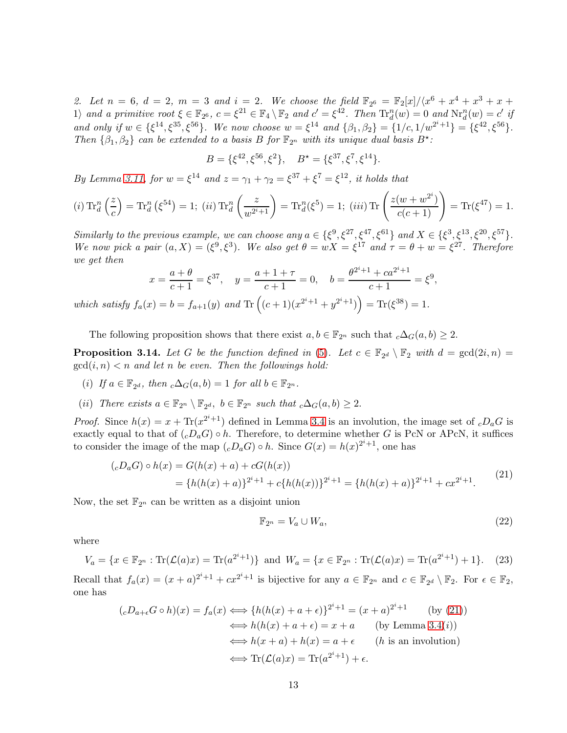2. Let  $n = 6$ ,  $d = 2$ ,  $m = 3$  and  $i = 2$ . We choose the field  $\mathbb{F}_{2^6} = \mathbb{F}_{2}[x]/\langle x^6 + x^4 + x^3 + x +$ 1) and a primitive root  $\xi \in \mathbb{F}_{2^6}$ ,  $c = \xi^{21} \in \mathbb{F}_4 \setminus \mathbb{F}_2$  and  $c' = \xi^{42}$ . Then  $\text{Tr}_d^n(w) = 0$  and  $\text{Nr}_d^n(w) = c'$  if and only if  $w \in \{\xi^{14}, \xi^{35}, \xi^{56}\}$ . We now choose  $w = \xi^{14}$  and  $\{\beta_1, \beta_2\} = \{1/c, 1/w^{2^i+1}\} = \{\xi^{42}, \xi^{56}\}$ . Then  $\{\beta_1, \beta_2\}$  can be extended to a basis B for  $\mathbb{F}_{2^n}$  with its unique dual basis  $B^*$ :

$$
B = \{\xi^{42}, \xi^{56}, \xi^2\}, \quad B^\star = \{\xi^{37}, \xi^7, \xi^{14}\}.
$$

By Lemma [3.11,](#page-9-0) for  $w = \xi^{14}$  and  $z = \gamma_1 + \gamma_2 = \xi^{37} + \xi^7 = \xi^{12}$ , it holds that

$$
(i) \operatorname{Tr}_{d}^{n} \left(\frac{z}{c}\right) = \operatorname{Tr}_{d}^{n} \left(\xi^{54}\right) = 1; \ (ii) \operatorname{Tr}_{d}^{n} \left(\frac{z}{w^{2^{i}+1}}\right) = \operatorname{Tr}_{d}^{n} \left(\xi^{5}\right) = 1; \ (iii) \operatorname{Tr} \left(\frac{z(w+w^{2^{i}})}{c(c+1)}\right) = \operatorname{Tr} \left(\xi^{47}\right) = 1.
$$

Similarly to the previous example, we can choose any  $a \in \{\xi^9, \xi^{27}, \xi^{47}, \xi^{61}\}\$  and  $X \in \{\xi^3, \xi^{13}, \xi^{20}, \xi^{57}\}.$ We now pick a pair  $(a, X) = (\xi^9, \xi^3)$ . We also get  $\theta = wX = \xi^{17}$  and  $\tau = \theta + w = \xi^{27}$ . Therefore we get then  $\alpha i+1$ 

$$
x = \frac{a+\theta}{c+1} = \xi^{37}, \quad y = \frac{a+1+\tau}{c+1} = 0, \quad b = \frac{\theta^{2^i+1} + ca^{2^i+1}}{c+1} = \xi^9,
$$
  
which satisfy  $f_a(x) = b = f_{a+1}(y)$  and Tr  $((c+1)(x^{2^i+1} + y^{2^i+1})) = \text{Tr}(\xi^{38}) = 1.$ 

The following proposition shows that there exist  $a, b \in \mathbb{F}_{2^n}$  such that  $c\Delta_G(a, b) \geq 2$ .

<span id="page-12-1"></span>**Proposition 3.14.** Let G be the function defined in [\(5\)](#page-3-1). Let  $c \in \mathbb{F}_{2^d} \setminus \mathbb{F}_2$  with  $d = \gcd(2i, n) =$  $gcd(i, n) < n$  and let n be even. Then the followings hold:

- (i) If  $a \in \mathbb{F}_{2^d}$ , then  $\mathcal{L} \Delta_G(a, b) = 1$  for all  $b \in \mathbb{F}_{2^n}$ .
- (*ii*) There exists  $a \in \mathbb{F}_{2^n} \setminus \mathbb{F}_{2^d}$ ,  $b \in \mathbb{F}_{2^n}$  such that  $_c \Delta_G(a, b) \geq 2$ .

*Proof.* Since  $h(x) = x + \text{Tr}(x^{2^{i}+1})$  defined in Lemma [3.4](#page-4-1) is an involution, the image set of  $cD_aG$  is exactly equal to that of  $\langle cD_aG\rangle \circ h$ . Therefore, to determine whether G is PcN or APcN, it suffices to consider the image of the map  $({}_cD_aG) \circ h$ . Since  $G(x) = h(x)^{2^i+1}$ , one has

$$
(cD_aG) \circ h(x) = G(h(x) + a) + cG(h(x))
$$
  
= {h(h(x) + a)}<sup>2<sup>i</sup>+1</sup> + c{h(h(x))}<sup>2<sup>i</sup>+1</sup> = {h(h(x) + a)}<sup>2<sup>i</sup>+1</sup> + cx<sup>2<sup>i</sup>+1</sup>. (21)

Now, the set  $\mathbb{F}_{2^n}$  can be written as a disjoint union

<span id="page-12-2"></span><span id="page-12-0"></span>
$$
\mathbb{F}_{2^n} = V_a \cup W_a,\tag{22}
$$

where

$$
V_a = \{ x \in \mathbb{F}_{2^n} : \text{Tr}(\mathcal{L}(a)x) = \text{Tr}(a^{2^i+1}) \} \text{ and } W_a = \{ x \in \mathbb{F}_{2^n} : \text{Tr}(\mathcal{L}(a)x) = \text{Tr}(a^{2^i+1}) + 1 \}. \tag{23}
$$

Recall that  $f_a(x) = (x + a)^{2^i+1} + cx^{2^i+1}$  is bijective for any  $a \in \mathbb{F}_{2^n}$  and  $c \in \mathbb{F}_{2^d} \setminus \mathbb{F}_2$ . For  $\epsilon \in \mathbb{F}_2$ , one has

$$
(cD_{a+\epsilon}G \circ h)(x) = f_a(x) \iff \{h(h(x) + a + \epsilon)\}^{2^i + 1} = (x + a)^{2^i + 1} \qquad \text{(by (21))}
$$

$$
\iff h(h(x) + a + \epsilon) = x + a \qquad \text{(by Lemma 3.4(i))}
$$

$$
\iff h(x + a) + h(x) = a + \epsilon \qquad \text{(h is an involution)}
$$

$$
\iff \text{Tr}(\mathcal{L}(a)x) = \text{Tr}(a^{2^i + 1}) + \epsilon.
$$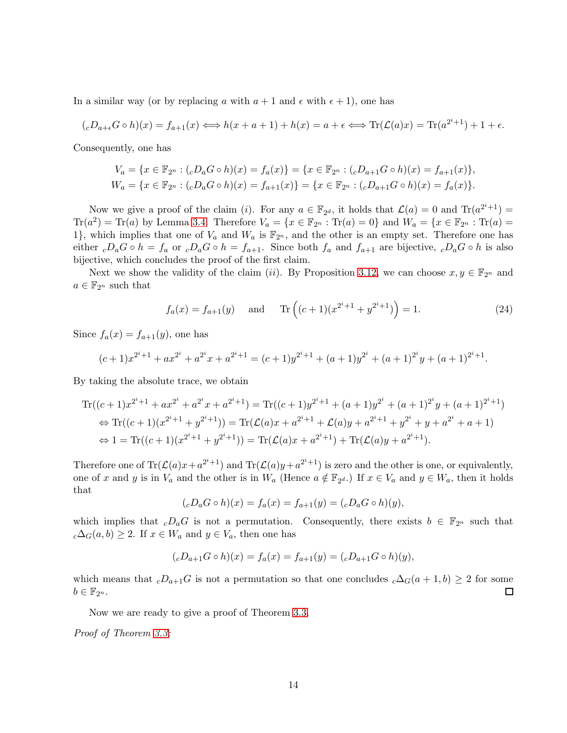In a similar way (or by replacing a with  $a + 1$  and  $\epsilon$  with  $\epsilon + 1$ ), one has

$$
({}_{c}D_{a+\epsilon}G\circ h)(x)=f_{a+1}(x)\Longleftrightarrow h(x+a+1)+h(x)=a+\epsilon\Longleftrightarrow \text{Tr}(\mathcal{L}(a)x)=\text{Tr}(a^{2^{i}+1})+1+\epsilon.
$$

Consequently, one has

$$
V_a = \{x \in \mathbb{F}_{2^n} : ({}_cD_aG \circ h)(x) = f_a(x)\} = \{x \in \mathbb{F}_{2^n} : ({}_cD_{a+1}G \circ h)(x) = f_{a+1}(x)\},
$$
  
\n
$$
W_a = \{x \in \mathbb{F}_{2^n} : ({}_cD_aG \circ h)(x) = f_{a+1}(x)\} = \{x \in \mathbb{F}_{2^n} : ({}_cD_{a+1}G \circ h)(x) = f_a(x)\}.
$$

Now we give a proof of the claim (*i*). For any  $a \in \mathbb{F}_{2^d}$ , it holds that  $\mathcal{L}(a) = 0$  and  $\text{Tr}(a^{2^i+1}) =$  $\text{Tr}(a^2) = \text{Tr}(a)$  by Lemma [3.4.](#page-4-1) Therefore  $V_a = \{x \in \mathbb{F}_{2^n} : \text{Tr}(a) = 0\}$  and  $W_a = \{x \in \mathbb{F}_{2^n} : \text{Tr}(a) = 0\}$ 1}, which implies that one of  $V_a$  and  $W_a$  is  $\mathbb{F}_{2^n}$ , and the other is an empty set. Therefore one has either  $cD_aG \circ h = f_a$  or  $cD_aG \circ h = f_{a+1}$ . Since both  $f_a$  and  $f_{a+1}$  are bijective,  $cD_aG \circ h$  is also bijective, which concludes the proof of the first claim.

Next we show the validity of the claim (*ii*). By Proposition [3.12,](#page-10-2) we can choose  $x, y \in \mathbb{F}_{2^n}$  and  $a \in \mathbb{F}_{2^n}$  such that

$$
f_a(x) = f_{a+1}(y)
$$
 and Tr  $((c+1)(x^{2^i+1} + y^{2^i+1})) = 1.$  (24)

Since  $f_a(x) = f_{a+1}(y)$ , one has

$$
(c+1)x^{2^{i}+1} + ax^{2^{i}} + a^{2^{i}}x + a^{2^{i}+1} = (c+1)y^{2^{i}+1} + (a+1)y^{2^{i}} + (a+1)^{2^{i}}y + (a+1)^{2^{i}+1}.
$$

By taking the absolute trace, we obtain

$$
\operatorname{Tr}((c+1)x^{2^{i}+1} + ax^{2^{i}} + a^{2^{i}}x + a^{2^{i}+1}) = \operatorname{Tr}((c+1)y^{2^{i}+1} + (a+1)y^{2^{i}} + (a+1)^{2^{i}}y + (a+1)^{2^{i}+1})
$$
  
\n
$$
\Leftrightarrow \operatorname{Tr}((c+1)(x^{2^{i}+1} + y^{2^{i}+1})) = \operatorname{Tr}(\mathcal{L}(a)x + a^{2^{i}+1} + \mathcal{L}(a)y + a^{2^{i}+1} + y^{2^{i}} + y + a^{2^{i}} + a + 1)
$$
  
\n
$$
\Leftrightarrow 1 = \operatorname{Tr}((c+1)(x^{2^{i}+1} + y^{2^{i}+1})) = \operatorname{Tr}(\mathcal{L}(a)x + a^{2^{i}+1}) + \operatorname{Tr}(\mathcal{L}(a)y + a^{2^{i}+1}).
$$

Therefore one of  $\text{Tr}(\mathcal{L}(a)x + a^{2^i+1})$  and  $\text{Tr}(\mathcal{L}(a)y + a^{2^i+1})$  is zero and the other is one, or equivalently, one of x and y is in  $V_a$  and the other is in  $W_a$  (Hence  $a \notin \mathbb{F}_{2^d}$ .) If  $x \in V_a$  and  $y \in W_a$ , then it holds that

$$
({}_cD_aG \circ h)(x) = f_a(x) = f_{a+1}(y) = ({}_cD_aG \circ h)(y),
$$

which implies that  $_cD_aG$  is not a permutation. Consequently, there exists  $b \in \mathbb{F}_{2^n}$  such that  $c\Delta_G(a, b) \geq 2$ . If  $x \in W_a$  and  $y \in V_a$ , then one has

$$
({}_cD_{a+1}G \circ h)(x) = f_a(x) = f_{a+1}(y) = ({}_cD_{a+1}G \circ h)(y),
$$

which means that  $cD_{a+1}G$  is not a permutation so that one concludes  $c\Delta_G(a+1,b) \geq 2$  for some  $b \in \mathbb{F}_{2^n}$ .  $\Box$ 

Now we are ready to give a proof of Theorem [3.3.](#page-4-0)

Proof of Theorem [3.3:](#page-4-0)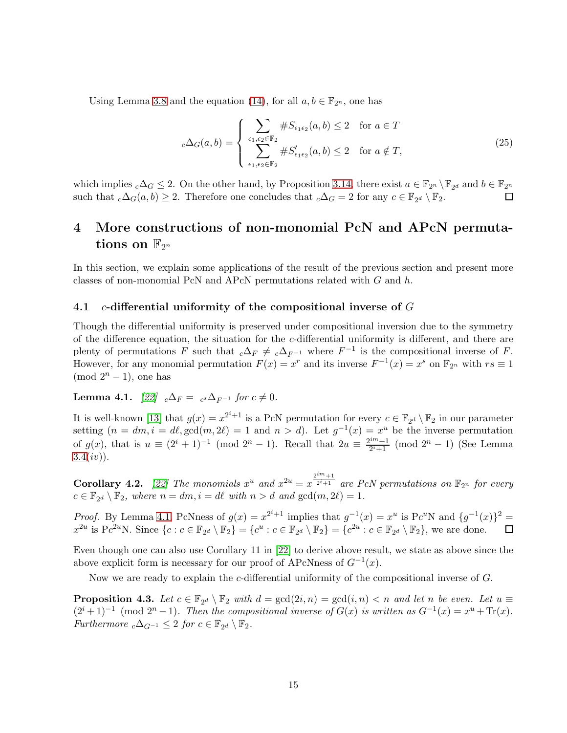Using Lemma [3.8](#page-7-3) and the equation [\(14\)](#page-7-1), for all  $a, b \in \mathbb{F}_{2^n}$ , one has

$$
{}_{c}\Delta_{G}(a,b) = \begin{cases} \sum_{\epsilon_1,\epsilon_2 \in \mathbb{F}_2} \#S_{\epsilon_1 \epsilon_2}(a,b) \le 2 & \text{for } a \in T\\ \sum_{\epsilon_1,\epsilon_2 \in \mathbb{F}_2} \#S_{\epsilon_1 \epsilon_2}'(a,b) \le 2 & \text{for } a \notin T, \end{cases} \tag{25}
$$

which implies  $_c\Delta_G \leq 2$ . On the other hand, by Proposition [3.14,](#page-12-1) there exist  $a \in \mathbb{F}_{2^n} \setminus \mathbb{F}_{2^d}$  and  $b \in \mathbb{F}_{2^n}$ such that  $_c\Delta_G(a, b) \geq 2$ . Therefore one concludes that  $_c\Delta_G = 2$  for any  $c \in \mathbb{F}_{2^d} \setminus \mathbb{F}_2$ .  $\Box$ 

## 4 More constructions of non-monomial PcN and APcN permuta- ${\rm\bf tions} \, \, {\rm on} \, \, {\mathbb F}_{2^n}$

In this section, we explain some applications of the result of the previous section and present more classes of non-monomial PcN and APcN permutations related with  $G$  and  $h$ .

### 4.1 c-differential uniformity of the compositional inverse of  $G$

Though the differential uniformity is preserved under compositional inversion due to the symmetry of the difference equation, the situation for the c-differential uniformity is different, and there are plenty of permutations F such that  $_c\Delta_F \neq c\Delta_{F^{-1}}$  where  $F^{-1}$  is the compositional inverse of F. However, for any monomial permutation  $F(x) = x^r$  and its inverse  $F^{-1}(x) = x^s$  on  $\mathbb{F}_{2^n}$  with  $rs \equiv 1$  $(mod 2<sup>n</sup> - 1), one has$ 

### <span id="page-14-0"></span>**Lemma 4.1.** [\[22\]](#page-21-0)  $_c\Delta_F = c^s \Delta_{F^{-1}}$  for  $c \neq 0$ .

It is well-known [\[13\]](#page-20-4) that  $g(x) = x^{2^i+1}$  is a PcN permutation for every  $c \in \mathbb{F}_{2^d} \setminus \mathbb{F}_2$  in our parameter setting  $(n = dm, i = d\ell, \gcd(m, 2\ell) = 1$  and  $n > d$ ). Let  $g^{-1}(x) = x^u$  be the inverse permutation of  $g(x)$ , that is  $u \equiv (2^i + 1)^{-1} \pmod{2^n - 1}$ . Recall that  $2u \equiv \frac{2^{im} + 1}{2^{i}}$  $\frac{2^{n+1}}{2^{i+1}}$  (mod  $2^{n} - 1$ ) (See Lemma  $3.4(iv)$  $3.4(iv)$ ).

<span id="page-14-1"></span>Corollary 4.2. [\[22\]](#page-21-0) The monomials  $x^u$  and  $x^{2u} = x^{\frac{2^{im}+1}{2^{i}+1}}$  $^{\overline{2^{i}+1}}$  are PcN permutations on  $\mathbb{F}_{2^{n}}$  for every  $c \in \mathbb{F}_{2^d} \setminus \mathbb{F}_2$ , where  $n = dm$ ,  $i = d\ell$  with  $n > d$  and  $gcd(m, 2\ell) = 1$ .

*Proof.* By Lemma [4.1,](#page-14-0) PcNness of  $g(x) = x^{2^{i+1}}$  implies that  $g^{-1}(x) = x^{u}$  is Pc<sup>u</sup>N and  $\{g^{-1}(x)\}^{2} =$  $x^{2u}$  is Pc<sup>2u</sup>N. Since  $\{c : c \in \mathbb{F}_{2^d} \setminus \mathbb{F}_2\} = \{c^u : c \in \mathbb{F}_{2^d} \setminus \mathbb{F}_2\} = \{c^{2u} : c \in \mathbb{F}_{2^d} \setminus \mathbb{F}_2\}$ , we are done.  $\Box$ 

Even though one can also use Corollary 11 in [\[22\]](#page-21-0) to derive above result, we state as above since the above explicit form is necessary for our proof of APcNness of  $G^{-1}(x)$ .

Now we are ready to explain the c-differential uniformity of the compositional inverse of G.

<span id="page-14-2"></span>**Proposition 4.3.** Let  $c \in \mathbb{F}_{2^d} \setminus \mathbb{F}_2$  with  $d = \gcd(2i, n) = \gcd(i, n) < n$  and let n be even. Let  $u \equiv$  $(2^{i} + 1)^{-1}$  (mod  $2^{n} - 1$ ). Then the compositional inverse of  $G(x)$  is written as  $G^{-1}(x) = x^{u} + \text{Tr}(x)$ . Furthermore  ${}_{c}\Delta_{G^{-1}} \leq 2$  for  $c \in \mathbb{F}_{2^d} \setminus \mathbb{F}_2$ .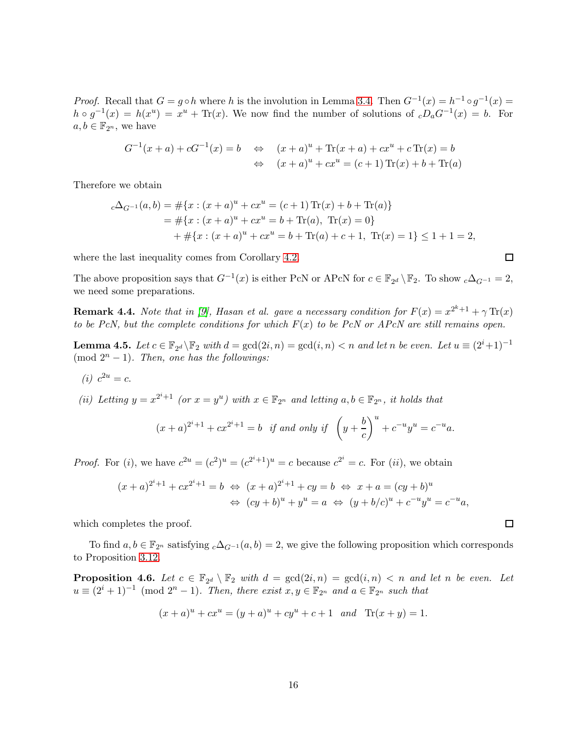*Proof.* Recall that  $G = g \circ h$  where h is the involution in Lemma [3.4.](#page-4-1) Then  $G^{-1}(x) = h^{-1} \circ g^{-1}(x) =$  $h \circ g^{-1}(x) = h(x^u) = x^u + \text{Tr}(x)$ . We now find the number of solutions of  $cD_aG^{-1}(x) = b$ . For  $a, b \in \mathbb{F}_{2^n}$ , we have

$$
G^{-1}(x + a) + cG^{-1}(x) = b \Leftrightarrow (x + a)^u + \text{Tr}(x + a) + cx^u + c \text{Tr}(x) = b
$$
  

$$
\Leftrightarrow (x + a)^u + cx^u = (c + 1) \text{Tr}(x) + b + \text{Tr}(a)
$$

Therefore we obtain

$$
c\Delta_{G^{-1}}(a,b) = #\{x : (x+a)^u + cx^u = (c+1)\operatorname{Tr}(x) + b + \operatorname{Tr}(a)\}
$$
  
= 
$$
# \{x : (x+a)^u + cx^u = b + \operatorname{Tr}(a), \operatorname{Tr}(x) = 0\}
$$
  
+ 
$$
# \{x : (x+a)^u + cx^u = b + \operatorname{Tr}(a) + c + 1, \operatorname{Tr}(x) = 1\} \le 1 + 1 = 2,
$$

where the last inequality comes from Corollary [4.2.](#page-14-1)

The above proposition says that  $G^{-1}(x)$  is either PcN or APcN for  $c \in \mathbb{F}_{2^d} \setminus \mathbb{F}_2$ . To show  $c\Delta_{G^{-1}} = 2$ , we need some preparations.

**Remark 4.4.** Note that in [\[9\]](#page-20-3), Hasan et al. gave a necessary condition for  $F(x) = x^{2^k+1} + \gamma \operatorname{Tr}(x)$ to be PcN, but the complete conditions for which  $F(x)$  to be PcN or APcN are still remains open.

<span id="page-15-0"></span>**Lemma 4.5.** Let  $c \in \mathbb{F}_{2^d} \backslash \mathbb{F}_2$  with  $d = \gcd(2i, n) = \gcd(i, n) < n$  and let n be even. Let  $u \equiv (2^i + 1)^{-1}$  $(mod 2<sup>n</sup> - 1)$ . Then, one has the followings:

(*i*)  $c^{2u} = c$ .

(ii) Letting  $y = x^{2^i+1}$  (or  $x = y^u$ ) with  $x \in \mathbb{F}_{2^n}$  and letting  $a, b \in \mathbb{F}_{2^n}$ , it holds that

$$
(x+a)^{2^{i}+1} + cx^{2^{i}+1} = b
$$
 if and only if  $\left(y + \frac{b}{c}\right)^{u} + c^{-u}y^{u} = c^{-u}a$ .

*Proof.* For (i), we have  $c^{2u} = (c^2)^u = (c^{2^i+1})^u = c$  because  $c^{2^i} = c$ . For (ii), we obtain

$$
(x+a)^{2^{i}+1} + cx^{2^{i}+1} = b \Leftrightarrow (x+a)^{2^{i}+1} + cy = b \Leftrightarrow x + a = (cy+b)^{u}
$$
  

$$
\Leftrightarrow (cy+b)^{u} + y^{u} = a \Leftrightarrow (y+b/c)^{u} + c^{-u}y^{u} = c^{-u}a,
$$

which completes the proof.

To find  $a, b \in \mathbb{F}_{2^n}$  satisfying  $c\Delta_{G^{-1}}(a, b) = 2$ , we give the following proposition which corresponds to Proposition [3.12.](#page-10-2)

<span id="page-15-1"></span>**Proposition 4.6.** Let  $c \in \mathbb{F}_{2^d} \setminus \mathbb{F}_2$  with  $d = \gcd(2i, n) = \gcd(i, n) < n$  and let n be even. Let  $u \equiv (2^i + 1)^{-1} \pmod{2^n - 1}$ . Then, there exist  $x, y \in \mathbb{F}_{2^n}$  and  $a \in \mathbb{F}_{2^n}$  such that

$$
(x+a)^u + cx^u = (y+a)^u + cy^u + c + 1
$$
 and  $Tr(x+y) = 1$ .

 $\Box$ 

 $\Box$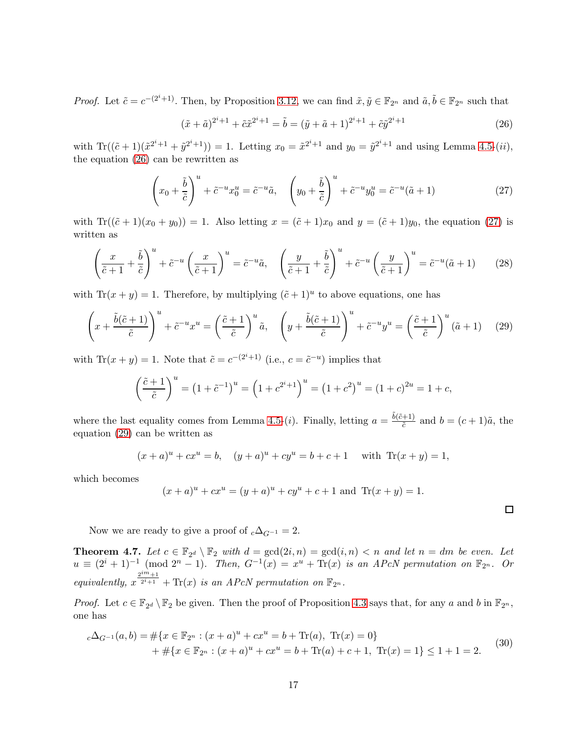*Proof.* Let  $\tilde{c} = c^{-(2^i+1)}$ . Then, by Proposition [3.12,](#page-10-2) we can find  $\tilde{x}, \tilde{y} \in \mathbb{F}_{2^n}$  and  $\tilde{a}, \tilde{b} \in \mathbb{F}_{2^n}$  such that

<span id="page-16-2"></span><span id="page-16-1"></span>
$$
(\tilde{x} + \tilde{a})^{2^i + 1} + \tilde{c}\tilde{x}^{2^i + 1} = \tilde{b} = (\tilde{y} + \tilde{a} + 1)^{2^i + 1} + \tilde{c}\tilde{y}^{2^i + 1}
$$
\n(26)

with  $\text{Tr}((\tilde{c} + 1)(\tilde{x}^{2^i+1} + \tilde{y}^{2^i+1})) = 1$ . Letting  $x_0 = \tilde{x}^{2^i+1}$  and  $y_0 = \tilde{y}^{2^i+1}$  and using Lemma [4.5-](#page-15-0)(*ii*), the equation [\(26\)](#page-16-1) can be rewritten as

$$
\left(x_0 + \frac{\tilde{b}}{\tilde{c}}\right)^u + \tilde{c}^{-u}x_0^u = \tilde{c}^{-u}\tilde{a}, \quad \left(y_0 + \frac{\tilde{b}}{\tilde{c}}\right)^u + \tilde{c}^{-u}y_0^u = \tilde{c}^{-u}(\tilde{a} + 1)
$$
\n(27)

with  $\text{Tr}((\tilde{c} + 1)(x_0 + y_0)) = 1$ . Also letting  $x = (\tilde{c} + 1)x_0$  and  $y = (\tilde{c} + 1)y_0$ , the equation [\(27\)](#page-16-2) is written as

$$
\left(\frac{x}{\tilde{c}+1} + \frac{\tilde{b}}{\tilde{c}}\right)^u + \tilde{c}^{-u}\left(\frac{x}{\tilde{c}+1}\right)^u = \tilde{c}^{-u}\tilde{a}, \quad \left(\frac{y}{\tilde{c}+1} + \frac{\tilde{b}}{\tilde{c}}\right)^u + \tilde{c}^{-u}\left(\frac{y}{\tilde{c}+1}\right)^u = \tilde{c}^{-u}(\tilde{a}+1) \tag{28}
$$

with  $\text{Tr}(x+y) = 1$ . Therefore, by multiplying  $(\tilde{c}+1)^u$  to above equations, one has

$$
\left(x + \frac{\tilde{b}(\tilde{c}+1)}{\tilde{c}}\right)^u + \tilde{c}^{-u}x^u = \left(\frac{\tilde{c}+1}{\tilde{c}}\right)^u \tilde{a}, \quad \left(y + \frac{\tilde{b}(\tilde{c}+1)}{\tilde{c}}\right)^u + \tilde{c}^{-u}y^u = \left(\frac{\tilde{c}+1}{\tilde{c}}\right)^u (\tilde{a}+1) \tag{29}
$$

with  $\text{Tr}(x+y) = 1$ . Note that  $\tilde{c} = c^{-(2^i+1)}$  (i.e.,  $c = \tilde{c}^{-u}$ ) implies that

$$
\left(\frac{\tilde{c}+1}{\tilde{c}}\right)^u = \left(1 + \tilde{c}^{-1}\right)^u = \left(1 + c^{2^i+1}\right)^u = \left(1 + c^2\right)^u = \left(1 + c\right)^{2^u} = 1 + c,
$$

where the last equality comes from Lemma [4.5-](#page-15-0)(*i*). Finally, letting  $a = \frac{\tilde{b}(\tilde{c}+1)}{\tilde{c}}$  $\frac{+1}{\tilde{c}}$  and  $b = (c+1)\tilde{a}$ , the equation [\(29\)](#page-16-3) can be written as

$$
(x + a)^u + cx^u = b
$$
,  $(y + a)^u + cy^u = b + c + 1$  with Tr $(x + y) = 1$ ,

which becomes

$$
(x+a)^u + cx^u = (y+a)^u + cy^u + c + 1
$$
 and Tr $(x + y) = 1$ .

<span id="page-16-3"></span> $\Box$ 

Now we are ready to give a proof of  $c\Delta_{G^{-1}} = 2$ .

<span id="page-16-0"></span>**Theorem 4.7.** Let  $c \in \mathbb{F}_{2^d} \setminus \mathbb{F}_2$  with  $d = \gcd(2i, n) = \gcd(i, n) < n$  and let  $n = dm$  be even. Let  $u \equiv (2^i + 1)^{-1} \pmod{2^n - 1}$ . Then,  $G^{-1}(x) = x^u + \text{Tr}(x)$  is an APcN permutation on  $\mathbb{F}_{2^n}$ . Or equivalently,  $x^{\frac{2^{im}+1}{2^i+1}}$  $\overline{2^{i+1}}$  + Tr(x) is an APcN permutation on  $\mathbb{F}_{2^n}$ .

*Proof.* Let  $c \in \mathbb{F}_{2^d} \setminus \mathbb{F}_2$  be given. Then the proof of Proposition [4.3](#page-14-2) says that, for any a and b in  $\mathbb{F}_{2^n}$ , one has

<span id="page-16-4"></span>
$$
c\Delta_{G^{-1}}(a,b) = \#\{x \in \mathbb{F}_{2^n} : (x+a)^u + cx^u = b + \text{Tr}(a), \text{ Tr}(x) = 0\}
$$
  
+ 
$$
\#\{x \in \mathbb{F}_{2^n} : (x+a)^u + cx^u = b + \text{Tr}(a) + c + 1, \text{ Tr}(x) = 1\} \le 1 + 1 = 2.
$$
 (30)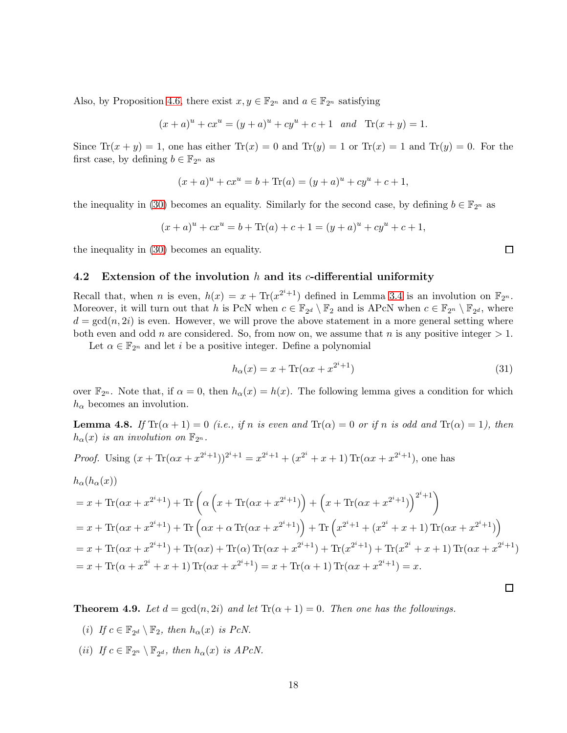Also, by Proposition [4.6,](#page-15-1) there exist  $x, y \in \mathbb{F}_{2^n}$  and  $a \in \mathbb{F}_{2^n}$  satisfying

$$
(x+a)^u + cx^u = (y+a)^u + cy^u + c + 1
$$
 and  $\text{Tr}(x+y) = 1.$ 

Since  $\text{Tr}(x+y) = 1$ , one has either  $\text{Tr}(x) = 0$  and  $\text{Tr}(y) = 1$  or  $\text{Tr}(x) = 1$  and  $\text{Tr}(y) = 0$ . For the first case, by defining  $b \in \mathbb{F}_{2^n}$  as

$$
(x+a)^{u} + cx^{u} = b + \text{Tr}(a) = (y+a)^{u} + cy^{u} + c + 1,
$$

the inequality in [\(30\)](#page-16-4) becomes an equality. Similarly for the second case, by defining  $b \in \mathbb{F}_{2^n}$  as

$$
(x+a)^{u} + cx^{u} = b + \text{Tr}(a) + c + 1 = (y+a)^{u} + cy^{u} + c + 1,
$$

the inequality in [\(30\)](#page-16-4) becomes an equality.

### 4.2 Extension of the involution h and its c-differential uniformity

Recall that, when *n* is even,  $h(x) = x + \text{Tr}(x^{2^{i}+1})$  defined in Lemma [3.4](#page-4-1) is an involution on  $\mathbb{F}_{2^{n}}$ . Moreover, it will turn out that h is PcN when  $c \in \mathbb{F}_{2^d} \setminus \mathbb{F}_2$  and is APcN when  $c \in \mathbb{F}_{2^n} \setminus \mathbb{F}_{2^d}$ , where  $d = \gcd(n, 2i)$  is even. However, we will prove the above statement in a more general setting where both even and odd n are considered. So, from now on, we assume that n is any positive integer  $> 1$ .

Let  $\alpha \in \mathbb{F}_{2^n}$  and let i be a positive integer. Define a polynomial

$$
h_{\alpha}(x) = x + \text{Tr}(\alpha x + x^{2^i + 1})
$$
\n
$$
(31)
$$

over  $\mathbb{F}_{2^n}$ . Note that, if  $\alpha = 0$ , then  $h_{\alpha}(x) = h(x)$ . The following lemma gives a condition for which  $h_{\alpha}$  becomes an involution.

**Lemma 4.8.** If  $\text{Tr}(\alpha + 1) = 0$  (i.e., if n is even and  $\text{Tr}(\alpha) = 0$  or if n is odd and  $\text{Tr}(\alpha) = 1$ ), then  $h_{\alpha}(x)$  is an involution on  $\mathbb{F}_{2^n}$ .

*Proof.* Using  $(x + \text{Tr}(\alpha x + x^{2^{i+1}}))^{2^{i+1}} = x^{2^{i+1}} + (x^{2^{i}} + x + 1) \text{Tr}(\alpha x + x^{2^{i+1}})$ , one has

$$
h_\alpha(h_\alpha(x))
$$

$$
= x + \text{Tr}(\alpha x + x^{2^{i}+1}) + \text{Tr}\left(\alpha \left(x + \text{Tr}(\alpha x + x^{2^{i}+1})\right) + \left(x + \text{Tr}(\alpha x + x^{2^{i}+1})\right)^{2^{i}+1}\right)
$$
  
\n
$$
= x + \text{Tr}(\alpha x + x^{2^{i}+1}) + \text{Tr}\left(\alpha x + \alpha \text{Tr}(\alpha x + x^{2^{i}+1})\right) + \text{Tr}\left(x^{2^{i}+1} + (x^{2^{i}} + x + 1)\text{Tr}(\alpha x + x^{2^{i}+1})\right)
$$
  
\n
$$
= x + \text{Tr}(\alpha x + x^{2^{i}+1}) + \text{Tr}(\alpha x) + \text{Tr}(\alpha) \text{Tr}(\alpha x + x^{2^{i}+1}) + \text{Tr}(x^{2^{i}+1}) + \text{Tr}(x^{2^{i}+1} + x + 1) \text{Tr}(\alpha x + x^{2^{i}+1})
$$
  
\n
$$
= x + \text{Tr}(\alpha + x^{2^{i}} + x + 1) \text{Tr}(\alpha x + x^{2^{i}+1}) = x + \text{Tr}(\alpha + 1) \text{Tr}(\alpha x + x^{2^{i}+1}) = x.
$$

<span id="page-17-0"></span>**Theorem 4.9.** Let  $d = \gcd(n, 2i)$  and let  $\text{Tr}(\alpha + 1) = 0$ . Then one has the followings.

- (i) If  $c \in \mathbb{F}_{2^d} \setminus \mathbb{F}_2$ , then  $h_\alpha(x)$  is PcN.
- (*ii*) If  $c \in \mathbb{F}_{2^n} \setminus \mathbb{F}_{2^d}$ , then  $h_{\alpha}(x)$  is APcN.

 $\Box$ 

 $\Box$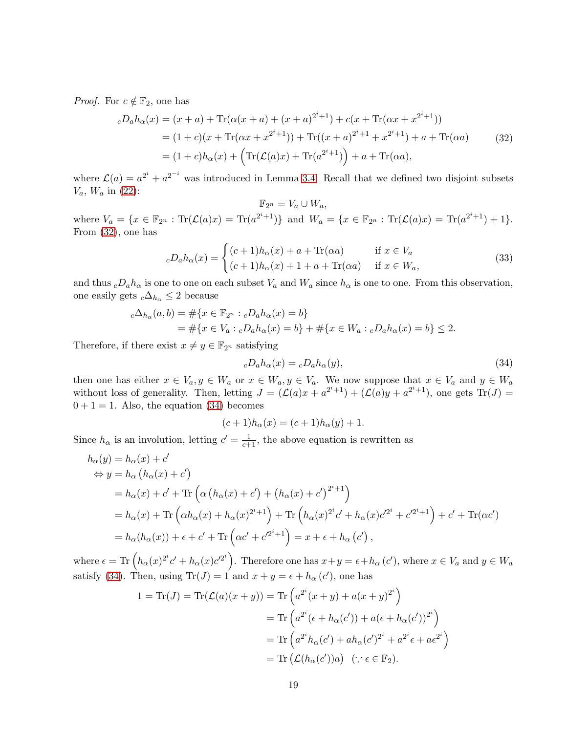*Proof.* For  $c \notin \mathbb{F}_2$ , one has

<span id="page-18-0"></span>
$$
cD_a h_\alpha(x) = (x+a) + \text{Tr}(\alpha(x+a) + (x+a)^{2^i+1}) + c(x+\text{Tr}(\alpha x + x^{2^i+1}))
$$
  
= (1+c)(x+\text{Tr}(\alpha x + x^{2^i+1})) + \text{Tr}((x+a)^{2^i+1} + x^{2^i+1}) + a + \text{Tr}(\alpha a) (32)  
= (1+c)h\_\alpha(x) + (\text{Tr}(\mathcal{L}(a)x) + \text{Tr}(a^{2^i+1})) + a + \text{Tr}(\alpha a),

where  $\mathcal{L}(a) = a^{2^i} + a^{2^{-i}}$  was introduced in Lemma 3.[4.](#page-4-1) Recall that we defined two disjoint subsets  $V_a$ ,  $W_a$  in [\(22\)](#page-12-2):

$$
\mathbb{F}_{2^n} = V_a \cup W_a,
$$

where  $V_a = \{x \in \mathbb{F}_{2^n} : \text{Tr}(\mathcal{L}(a)x) = \text{Tr}(a^{2^i+1})\}$  and  $W_a = \{x \in \mathbb{F}_{2^n} : \text{Tr}(\mathcal{L}(a)x) = \text{Tr}(a^{2^i+1}) + 1\}.$ From [\(32\)](#page-18-0), one has

$$
{}_cD_a h_\alpha(x) = \begin{cases} (c+1)h_\alpha(x) + a + \text{Tr}(\alpha a) & \text{if } x \in V_a \\ (c+1)h_\alpha(x) + 1 + a + \text{Tr}(\alpha a) & \text{if } x \in W_a, \end{cases} \tag{33}
$$

and thus  $cDah_{\alpha}$  is one to one on each subset  $V_a$  and  $W_a$  since  $h_{\alpha}$  is one to one. From this observation, one easily gets  $c\Delta_{h_\alpha} \leq 2$  because

$$
c\Delta_{h_{\alpha}}(a,b) = \#\{x \in \mathbb{F}_{2^n} : cD_a h_{\alpha}(x) = b\}
$$
  
= 
$$
\#\{x \in V_a : cD_a h_{\alpha}(x) = b\} + \#\{x \in W_a : cD_a h_{\alpha}(x) = b\} \le 2.
$$

Therefore, if there exist  $x \neq y \in \mathbb{F}_{2^n}$  satisfying

<span id="page-18-1"></span>
$$
{}_{c}D_{a}h_{\alpha}(x) = {}_{c}D_{a}h_{\alpha}(y), \qquad (34)
$$

then one has either  $x \in V_a$ ,  $y \in W_a$  or  $x \in W_a$ ,  $y \in V_a$ . We now suppose that  $x \in V_a$  and  $y \in W_a$ without loss of generality. Then, letting  $J = (\mathcal{L}(a)x + a^{2^i+1}) + (\mathcal{L}(a)y + a^{2^i+1})$ , one gets  $Tr(J)$  $0 + 1 = 1$ . Also, the equation [\(34\)](#page-18-1) becomes

$$
(c+1)h_{\alpha}(x) = (c+1)h_{\alpha}(y) + 1.
$$

Since  $h_{\alpha}$  is an involution, letting  $c' = \frac{1}{c+1}$ , the above equation is rewritten as

$$
h_{\alpha}(y) = h_{\alpha}(x) + c'
$$
  
\n
$$
\Leftrightarrow y = h_{\alpha}(h_{\alpha}(x) + c')
$$
  
\n
$$
= h_{\alpha}(x) + c' + \text{Tr}\left(\alpha (h_{\alpha}(x) + c') + (h_{\alpha}(x) + c')^{2^{i}+1}\right)
$$
  
\n
$$
= h_{\alpha}(x) + \text{Tr}\left(\alpha h_{\alpha}(x) + h_{\alpha}(x)^{2^{i}+1}\right) + \text{Tr}\left(h_{\alpha}(x)^{2^{i}}c' + h_{\alpha}(x)c'^{2^{i}} + c'^{2^{i}+1}\right) + c' + \text{Tr}(\alpha c')
$$
  
\n
$$
= h_{\alpha}(h_{\alpha}(x)) + \epsilon + c' + \text{Tr}\left(\alpha c' + c'^{2^{i}+1}\right) = x + \epsilon + h_{\alpha}(c'),
$$

where  $\epsilon = \text{Tr} \left( h_{\alpha}(x)^{2^i} c' + h_{\alpha}(x) c'^{2^i} \right)$ . Therefore one has  $x + y = \epsilon + h_{\alpha}(c')$ , where  $x \in V_a$  and  $y \in W_a$ satisfy [\(34\)](#page-18-1). Then, using  $\text{Tr}(J) = 1$  and  $x + y = \epsilon + h_{\alpha}(c')$ , one has

$$
1 = \text{Tr}(J) = \text{Tr}(\mathcal{L}(a)(x+y)) = \text{Tr}\left(a^{2^i}(x+y) + a(x+y)^{2^i}\right)
$$

$$
= \text{Tr}\left(a^{2^i}(\epsilon + h_{\alpha}(c')) + a(\epsilon + h_{\alpha}(c'))^{2^i}\right)
$$

$$
= \text{Tr}\left(a^{2^i}h_{\alpha}(c') + ah_{\alpha}(c')^{2^i} + a^{2^i}\epsilon + a\epsilon^{2^i}\right)
$$

$$
= \text{Tr}(\mathcal{L}(h_{\alpha}(c'))a) \quad (\because \epsilon \in \mathbb{F}_2).
$$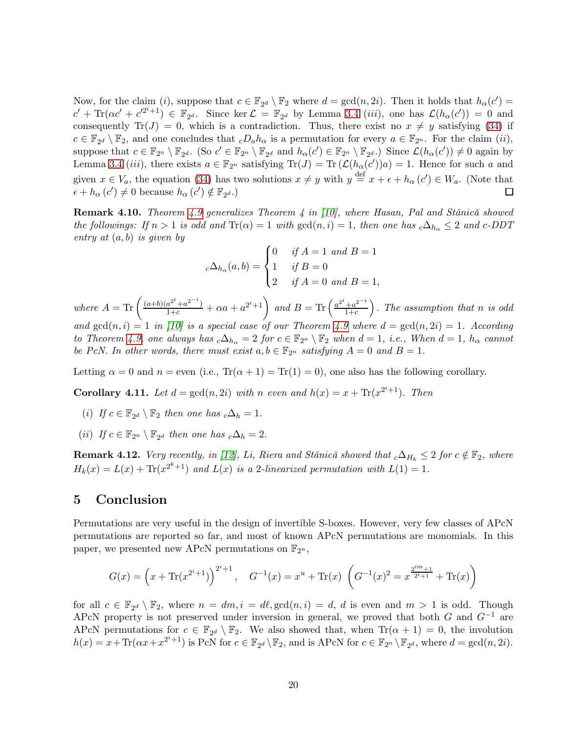Now, for the claim (*i*), suppose that  $c \in \mathbb{F}_{2^d} \setminus \mathbb{F}_2$  where  $d = \gcd(n, 2i)$ . Then it holds that  $h_\alpha(c') =$  $c' + \text{Tr}(\alpha c' + c'^{2^i+1}) \in \mathbb{F}_{2^d}$ . Since ker  $\mathcal{L} = \mathbb{F}_{2^d}$  by Lemma [3.4](#page-4-1) *(iii)*, one has  $\mathcal{L}(h_\alpha(c')) = 0$  and consequently Tr(J) = 0, which is a contradiction. Thus, there exist no  $x \neq y$  satisfying [\(34\)](#page-18-1) if  $c \in \mathbb{F}_{2^d} \setminus \mathbb{F}_2$ , and one concludes that  $cD_a h_\alpha$  is a permutation for every  $a \in \mathbb{F}_{2^n}$ . For the claim  $(ii)$ , suppose that  $c \in \mathbb{F}_{2^n} \setminus \mathbb{F}_{2^d}$ . (So  $c' \in \mathbb{F}_{2^n} \setminus \mathbb{F}_{2^d}$  and  $h_\alpha(c') \in \mathbb{F}_{2^n} \setminus \mathbb{F}_{2^d}$ .) Since  $\mathcal{L}(h_\alpha(c')) \neq 0$  again by Lemma [3.4](#page-4-1) (*iii*), there exists  $a \in \mathbb{F}_{2^n}$  satisfying  $Tr(J) = Tr(\mathcal{L}(h_{\alpha}(c'))a) = 1$ . Hence for such a and given  $x \in V_a$ , the equation [\(34\)](#page-18-1) has two solutions  $x \neq y$  with  $y \stackrel{\text{def}}{=} x + \epsilon + h_\alpha (c') \in W_a$ . (Note that  $\epsilon + h_{\alpha}(c') \neq 0$  because  $h_{\alpha}(c') \notin \mathbb{F}_{2^d}$ .)  $\Box$ 

**Remark 4.10.** Theorem [4.9](#page-17-0) generalizes Theorem 4 in [\[10\]](#page-20-7), where Hasan, Pal and Stănică showed the followings: If  $n > 1$  is odd and  $\text{Tr}(\alpha) = 1$  with  $\gcd(n, i) = 1$ , then one has  $c\Delta_{h_\alpha} \leq 2$  and  $c$ -DDT entry at  $(a, b)$  is given by

$$
{}_{c}\Delta_{h_{\alpha}}(a,b) = \begin{cases} 0 & \text{if } A = 1 \text{ and } B = 1 \\ 1 & \text{if } B = 0 \\ 2 & \text{if } A = 0 \text{ and } B = 1, \end{cases}
$$

where  $A = \text{Tr}\left(\frac{(a+b)(a^{2^i}+a^{2^{-i}})}{1+c} + \alpha a + a^{2^i+1}\right)$  and  $B = \text{Tr}\left(\frac{a^{2^i}+a^{2^{-i}}}{1+c}\right)$  $_{1+c}$  $\big)$ . The assumption that n is odd and  $gcd(n, i) = 1$  in [\[10\]](#page-20-7) is a special case of our Theorem [4.9](#page-17-0) where  $d = gcd(n, 2i) = 1$ . According to Theorem [4.9,](#page-17-0) one always has  $_c\Delta_{h_\alpha} = 2$  for  $c \in \mathbb{F}_{2^n} \setminus \mathbb{F}_2$  when  $d = 1$ , i.e., When  $d = 1$ ,  $h_\alpha$  cannot be PcN. In other words, there must exist  $a, b \in \mathbb{F}_{2^n}$  satisfying  $A = 0$  and  $B = 1$ .

Letting  $\alpha = 0$  and  $n =$  even (i.e.,  $\text{Tr}(\alpha + 1) = \text{Tr}(1) = 0$ ), one also has the following corollary.

**Corollary 4.11.** Let  $d = \gcd(n, 2i)$  with n even and  $h(x) = x + \text{Tr}(x^{2^i+1})$ . Then

- (i) If  $c \in \mathbb{F}_{2^d} \setminus \mathbb{F}_2$  then one has  $_c\Delta_h = 1$ .
- (*ii*) If  $c \in \mathbb{F}_{2^n} \setminus \mathbb{F}_{2^d}$  then one has  $c\Delta_h = 2$ .

**Remark 4.12.** Very recently, in [\[12\]](#page-20-5), Li, Riera and Stǎnicǎ showed that  $_c\Delta_{H_k} \leq 2$  for  $c \notin \mathbb{F}_2$ , where  $H_k(x) = L(x) + \text{Tr}(x^{2^k+1})$  and  $L(x)$  is a 2-linearized permutation with  $L(1) = 1$ .

## 5 Conclusion

Permutations are very useful in the design of invertible S-boxes. However, very few classes of APcN permutations are reported so far, and most of known APcN permutations are monomials. In this paper, we presented new APcN permutations on  $\mathbb{F}_{2^n}$ ,

$$
G(x) = \left(x + \text{Tr}(x^{2^{i}+1})\right)^{2^{i}+1}, \quad G^{-1}(x) = x^{u} + \text{Tr}(x) \left(G^{-1}(x)^{2} = x^{\frac{2^{im}+1}{2^{i}+1}} + \text{Tr}(x)\right)
$$

for all  $c \in \mathbb{F}_{2^d} \setminus \mathbb{F}_2$ , where  $n = dm, i = d\ell, \gcd(n, i) = d, d$  is even and  $m > 1$  is odd. Though APcN property is not preserved under inversion in general, we proved that both G and  $G^{-1}$  are APcN permutations for  $c \in \mathbb{F}_{2^d} \setminus \mathbb{F}_2$ . We also showed that, when  $\text{Tr}(\alpha + 1) = 0$ , the involution  $h(x) = x + \text{Tr}(\alpha x + x^{2^i+1})$  is PcN for  $c \in \mathbb{F}_{2^d} \backslash \mathbb{F}_2$ , and is APcN for  $c \in \mathbb{F}_{2^n} \backslash \mathbb{F}_{2^d}$ , where  $d = \gcd(n, 2i)$ .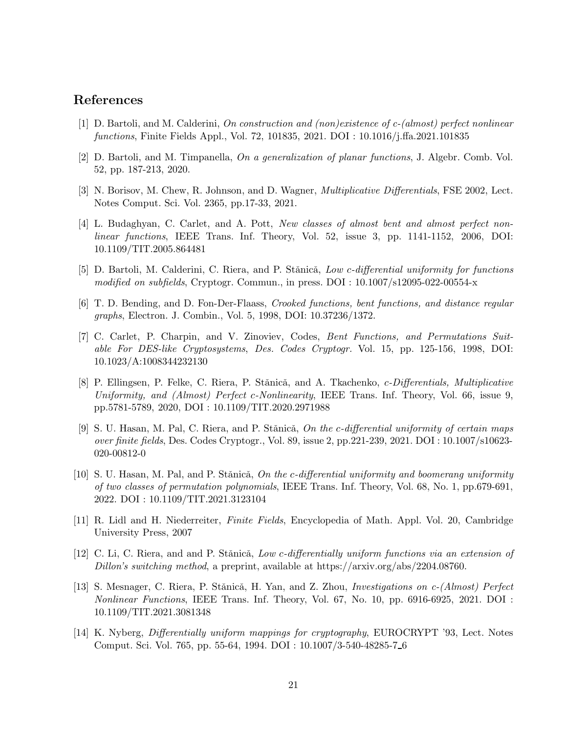### <span id="page-20-8"></span>References

- <span id="page-20-2"></span>[1] D. Bartoli, and M. Calderini, On construction and (non)existence of c-(almost) perfect nonlinear functions, Finite Fields Appl., Vol. 72, 101835, 2021. DOI : 10.1016/j.ffa.2021.101835
- <span id="page-20-1"></span>[2] D. Bartoli, and M. Timpanella, On a generalization of planar functions, J. Algebr. Comb. Vol. 52, pp. 187-213, 2020.
- <span id="page-20-10"></span>[3] N. Borisov, M. Chew, R. Johnson, and D. Wagner, *Multiplicative Differentials*, FSE 2002, Lect. Notes Comput. Sci. Vol. 2365, pp.17-33, 2021.
- [4] L. Budaghyan, C. Carlet, and A. Pott, New classes of almost bent and almost perfect nonlinear functions, IEEE Trans. Inf. Theory, Vol. 52, issue 3, pp. 1141-1152, 2006, DOI: 10.1109/TIT.2005.864481
- <span id="page-20-6"></span>[5] D. Bartoli, M. Calderini, C. Riera, and P. Stănică, Low c-differential uniformity for functions modified on subfields, Cryptogr. Commun., in press. DOI : 10.1007/s12095-022-00554-x
- <span id="page-20-9"></span>[6] T. D. Bending, and D. Fon-Der-Flaass, Crooked functions, bent functions, and distance regular graphs, Electron. J. Combin., Vol. 5, 1998, DOI: 10.37236/1372.
- [7] C. Carlet, P. Charpin, and V. Zinoviev, Codes, Bent Functions, and Permutations Suitable For DES-like Cryptosystems, Des. Codes Cryptogr. Vol. 15, pp. 125-156, 1998, DOI: 10.1023/A:1008344232130
- <span id="page-20-0"></span>[8] P. Ellingsen, P. Felke, C. Riera, P. Stănică, and A. Tkachenko, c-Differentials, Multiplicative Uniformity, and (Almost) Perfect c-Nonlinearity, IEEE Trans. Inf. Theory, Vol. 66, issue 9, pp.5781-5789, 2020, DOI : 10.1109/TIT.2020.2971988
- <span id="page-20-3"></span>[9] S. U. Hasan, M. Pal, C. Riera, and P. Stănică, On the c-differential uniformity of certain maps over finite fields, Des. Codes Cryptogr., Vol. 89, issue 2, pp.221-239, 2021. DOI : 10.1007/s10623- 020-00812-0
- <span id="page-20-7"></span>[10] S. U. Hasan, M. Pal, and P. Stănică, On the c-differential uniformity and boomerang uniformity of two classes of permutation polynomials, IEEE Trans. Inf. Theory, Vol. 68, No. 1, pp.679-691, 2022. DOI : 10.1109/TIT.2021.3123104
- <span id="page-20-11"></span><span id="page-20-5"></span>[11] R. Lidl and H. Niederreiter, Finite Fields, Encyclopedia of Math. Appl. Vol. 20, Cambridge University Press, 2007
- [12] C. Li, C. Riera, and and P. Stănică, Low c-differentially uniform functions via an extension of Dillon's switching method, a preprint, available at https://arxiv.org/abs/2204.08760.
- <span id="page-20-4"></span>[13] S. Mesnager, C. Riera, P. Stănică, H. Yan, and Z. Zhou, *Investigations on c-(Almost) Perfect* Nonlinear Functions, IEEE Trans. Inf. Theory, Vol. 67, No. 10, pp. 6916-6925, 2021. DOI : 10.1109/TIT.2021.3081348
- [14] K. Nyberg, Differentially uniform mappings for cryptography, EUROCRYPT '93, Lect. Notes Comput. Sci. Vol. 765, pp. 55-64, 1994. DOI : 10.1007/3-540-48285-7 6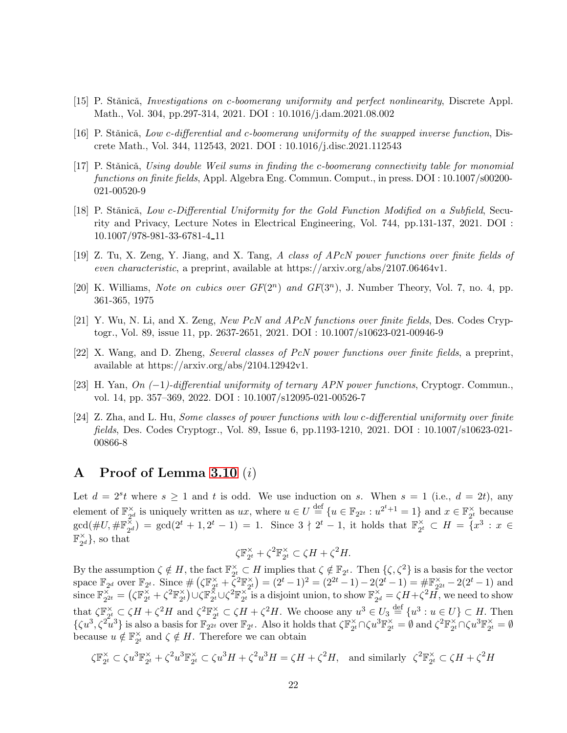- [15] P. Stănică, Investigations on c-boomerang uniformity and perfect nonlinearity, Discrete Appl. Math., Vol. 304, pp.297-314, 2021. DOI : 10.1016/j.dam.2021.08.002
- [16] P. Stănică, Low c-differential and c-boomerang uniformity of the swapped inverse function, Discrete Math., Vol. 344, 112543, 2021. DOI : 10.1016/j.disc.2021.112543
- [17] P. Stănică, Using double Weil sums in finding the c-boomerang connectivity table for monomial functions on finite fields, Appl. Algebra Eng. Commun. Comput., in press. DOI : 10.1007/s00200- 021-00520-9
- [18] P. Stănică, Low c-Differential Uniformity for the Gold Function Modified on a Subfield, Security and Privacy, Lecture Notes in Electrical Engineering, Vol. 744, pp.131-137, 2021. DOI : 10.1007/978-981-33-6781-4 11
- <span id="page-21-5"></span><span id="page-21-4"></span>[19] Z. Tu, X. Zeng, Y. Jiang, and X. Tang, A class of APcN power functions over finite fields of even characteristic, a preprint, available at https://arxiv.org/abs/2107.06464v1.
- [20] K. Williams, Note on cubics over  $GF(2^n)$  and  $GF(3^n)$ , J. Number Theory, Vol. 7, no. 4, pp. 361-365, 1975
- <span id="page-21-3"></span><span id="page-21-0"></span>[21] Y. Wu, N. Li, and X. Zeng, New PcN and APcN functions over finite fields, Des. Codes Cryptogr., Vol. 89, issue 11, pp. 2637-2651, 2021. DOI : 10.1007/s10623-021-00946-9
- <span id="page-21-2"></span>[22] X. Wang, and D. Zheng, Several classes of PcN power functions over finite fields, a preprint, available at https://arxiv.org/abs/2104.12942v1.
- <span id="page-21-1"></span>[23] H. Yan, On (−1)-differential uniformity of ternary APN power functions, Cryptogr. Commun., vol. 14, pp. 357–369, 2022. DOI : 10.1007/s12095-021-00526-7
- [24] Z. Zha, and L. Hu, Some classes of power functions with low c-differential uniformity over finite fields, Des. Codes Cryptogr., Vol. 89, Issue 6, pp.1193-1210, 2021. DOI : 10.1007/s10623-021- 00866-8

## <span id="page-21-6"></span>A Proof of Lemma [3.10](#page-8-0) (i)

Let  $d = 2<sup>s</sup> t$  where  $s \ge 1$  and t is odd. We use induction on s. When  $s = 1$  (i.e.,  $d = 2t$ ), any element of  $\mathbb{F}_{q}^{\times}$  $\mathcal{L}_{2^d}$  is uniquely written as  $ux$ , where  $u \in U \stackrel{\text{def}}{=} \{u \in \mathbb{F}_{2^{2t}} : u^{2^t+1} = 1\}$  and  $x \in \mathbb{F}_{2^t}^{\times}$  $\frac{\chi}{2^t}$  because  $\gcd(\#U, \#\mathbb{F}_{\infty}^{\times})$  $\tilde{\frac{z}{2}}_{2d}$  = gcd(2<sup>t</sup> + 1, 2<sup>t</sup> - 1) = 1. Since 3  $\frac{1}{2}$  2<sup>t</sup> - 1, it holds that  $\mathbb{F}_{2d}^{\times}$  $\frac{x}{2^t} \subset H = \{x^3 : x \in$  $\mathbb{F}_{q_0}^\times$  $\mathbf{a}_{2^d}^{\times}$ , so that

$$
\zeta \mathbb{F}_{2^t}^\times + \zeta^2 \mathbb{F}_{2^t}^\times \subset \zeta H + \zeta^2 H.
$$

By the assumption  $\zeta \notin H$ , the fact  $\mathbb{F}_{2^t}^{\times}$  $\chi^2_{25} \subset H$  implies that  $\zeta \notin \mathbb{F}_{2^t}$ . Then  $\{\zeta, \zeta^2\}$  is a basis for the vector space  $\mathbb{F}_{2^d}$  over  $\mathbb{F}_{2^t}$ . Since  $\#(\zeta \mathbb{F}_{2^t}^{\times})$  $\sum_{2^t}^{\times}+\tilde{\zeta}^2\mathbb{F}_{2^t}^{\times}$  $\begin{array}{c} \n\chi \\ \n\chi^2 \n\chi^2 \n\end{array} = (2^t - 1)^2 = (2^{2t} - 1) - 2(2^t - 1) = \# \mathbb{F}_{2^2}^{\times}$  $\frac{\times}{2^{2t}} - 2(2^t - 1)$  and since  $\mathbb{F}_{2^2}^{\times}$  $\check{\Sigma_{2^{2t}}} = \bigl( \zeta \mathbb{F}_{2^t}^\times$  $\bar{\zeta}_2 + \zeta^2 \mathbb{F}_{2^t}^\times$  $\binom{\times}{2^t} \cup \zeta \mathbb{F}^{\not \sim}_{2^t}$  $^{\overset{<}{\chi}}_{2^t}$ U $\zeta^2\mathbb{F}^{\times}_{2^t}$  $\chi^2_{2t}$  is a disjoint union, to show  $\mathbb{F}_{2^c}^{\chi}$  $\chi^{\times}_{2^d} = \zeta H + \zeta^2 H$ , we need to show that  $\zeta \mathbb{F}_{2^t}^{\times}$  $\zeta_2^{\chi} \subset \zeta H + \zeta^2 H$  and  $\zeta^2 \mathbb{F}_{2^t}^{\times}$  $\chi_2^{\times} \subset \zeta H + \zeta^2 H$ . We choose any  $u^3 \in U_3 \stackrel{\text{def}}{=} \{u^3 : u \in U\} \subset H$ . Then  $\{\zeta u^3, \zeta^2 u^3\}$  is also a basis for  $\mathbb{F}_{2^t}$  over  $\mathbb{F}_{2^t}$ . Also it holds that  $\zeta \mathbb{F}_{2^t}^{\times}$  $\sum_{2^t}^{\times} \cap \zeta u^3 \mathbb{F}_{2^t}^{\times}$  $\mathbf{y}_2^{\times} = \emptyset \text{ and } \zeta^2 \mathbb{F}_{2^t}^{\times}$  $\sum\limits_{2^t}^{\times} \bigcap \zeta u^3 \mathbb{F}_{2^t}^{\times}$  $\frac{\times}{2^t} = \emptyset$ because  $u \notin \mathbb{F}_{2^t}^{\times}$  $\frac{\alpha}{2^t}$  and  $\zeta \notin H$ . Therefore we can obtain

$$
\zeta \mathbb{F}_{2^t}^{\times} \subset \zeta u^3 \mathbb{F}_{2^t}^{\times} + \zeta^2 u^3 \mathbb{F}_{2^t}^{\times} \subset \zeta u^3 H + \zeta^2 u^3 H = \zeta H + \zeta^2 H, \text{ and similarly } \zeta^2 \mathbb{F}_{2^t}^{\times} \subset \zeta H + \zeta^2 H
$$